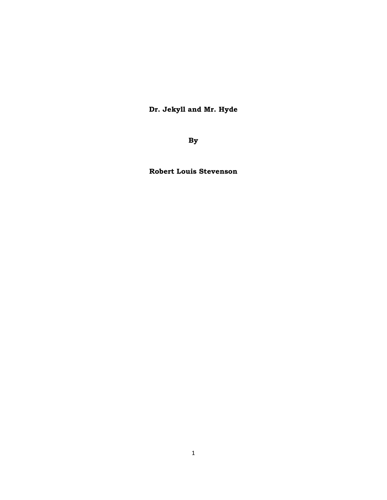**Dr. Jekyll and Mr. Hyde** 

**By** 

**Robert Louis Stevenson**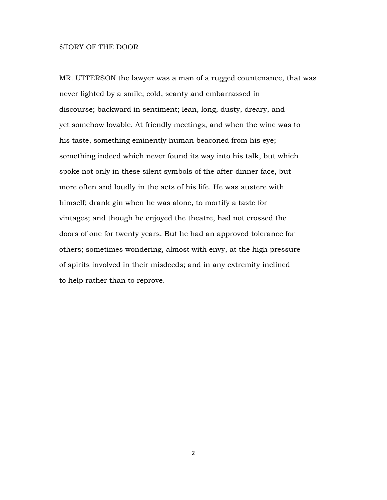## STORY OF THE DOOR

MR. UTTERSON the lawyer was a man of a rugged countenance, that was never lighted by a smile; cold, scanty and embarrassed in discourse; backward in sentiment; lean, long, dusty, dreary, and yet somehow lovable. At friendly meetings, and when the wine was to his taste, something eminently human beaconed from his eye; something indeed which never found its way into his talk, but which spoke not only in these silent symbols of the after-dinner face, but more often and loudly in the acts of his life. He was austere with himself; drank gin when he was alone, to mortify a taste for vintages; and though he enjoyed the theatre, had not crossed the doors of one for twenty years. But he had an approved tolerance for others; sometimes wondering, almost with envy, at the high pressure of spirits involved in their misdeeds; and in any extremity inclined to help rather than to reprove.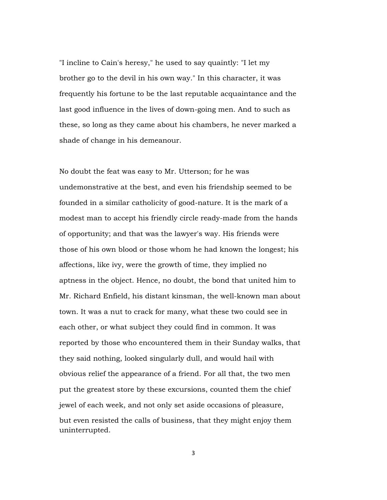"I incline to Cain's heresy," he used to say quaintly: "I let my brother go to the devil in his own way." In this character, it was frequently his fortune to be the last reputable acquaintance and the last good influence in the lives of down-going men. And to such as these, so long as they came about his chambers, he never marked a shade of change in his demeanour.

No doubt the feat was easy to Mr. Utterson; for he was undemonstrative at the best, and even his friendship seemed to be founded in a similar catholicity of good-nature. It is the mark of a modest man to accept his friendly circle ready-made from the hands of opportunity; and that was the lawyer's way. His friends were those of his own blood or those whom he had known the longest; his affections, like ivy, were the growth of time, they implied no aptness in the object. Hence, no doubt, the bond that united him to Mr. Richard Enfield, his distant kinsman, the well-known man about town. It was a nut to crack for many, what these two could see in each other, or what subject they could find in common. It was reported by those who encountered them in their Sunday walks, that they said nothing, looked singularly dull, and would hail with obvious relief the appearance of a friend. For all that, the two men put the greatest store by these excursions, counted them the chief jewel of each week, and not only set aside occasions of pleasure, but even resisted the calls of business, that they might enjoy them uninterrupted.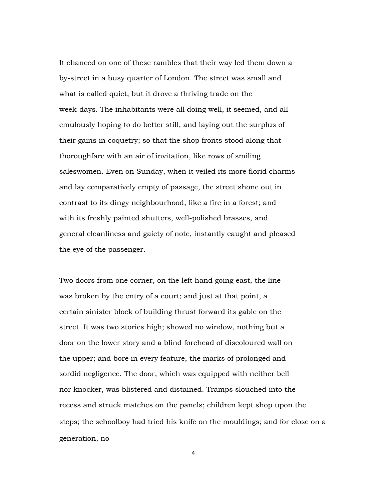It chanced on one of these rambles that their way led them down a by-street in a busy quarter of London. The street was small and what is called quiet, but it drove a thriving trade on the week-days. The inhabitants were all doing well, it seemed, and all emulously hoping to do better still, and laying out the surplus of their gains in coquetry; so that the shop fronts stood along that thoroughfare with an air of invitation, like rows of smiling saleswomen. Even on Sunday, when it veiled its more florid charms and lay comparatively empty of passage, the street shone out in contrast to its dingy neighbourhood, like a fire in a forest; and with its freshly painted shutters, well-polished brasses, and general cleanliness and gaiety of note, instantly caught and pleased the eye of the passenger.

Two doors from one corner, on the left hand going east, the line was broken by the entry of a court; and just at that point, a certain sinister block of building thrust forward its gable on the street. It was two stories high; showed no window, nothing but a door on the lower story and a blind forehead of discoloured wall on the upper; and bore in every feature, the marks of prolonged and sordid negligence. The door, which was equipped with neither bell nor knocker, was blistered and distained. Tramps slouched into the recess and struck matches on the panels; children kept shop upon the steps; the schoolboy had tried his knife on the mouldings; and for close on a generation, no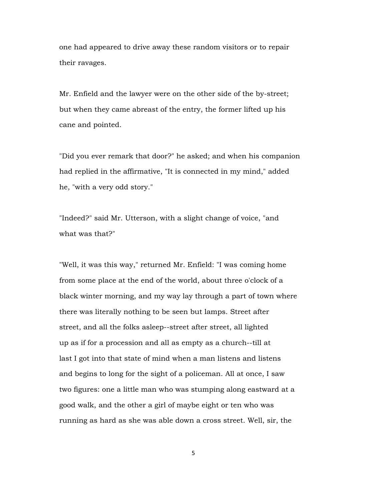one had appeared to drive away these random visitors or to repair their ravages.

Mr. Enfield and the lawyer were on the other side of the by-street; but when they came abreast of the entry, the former lifted up his cane and pointed.

"Did you ever remark that door?" he asked; and when his companion had replied in the affirmative, "It is connected in my mind," added he, "with a very odd story."

"Indeed?" said Mr. Utterson, with a slight change of voice, "and what was that?"

"Well, it was this way," returned Mr. Enfield: "I was coming home from some place at the end of the world, about three o'clock of a black winter morning, and my way lay through a part of town where there was literally nothing to be seen but lamps. Street after street, and all the folks asleep--street after street, all lighted up as if for a procession and all as empty as a church--till at last I got into that state of mind when a man listens and listens and begins to long for the sight of a policeman. All at once, I saw two figures: one a little man who was stumping along eastward at a good walk, and the other a girl of maybe eight or ten who was running as hard as she was able down a cross street. Well, sir, the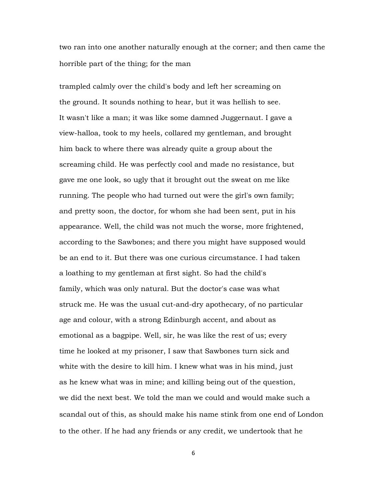two ran into one another naturally enough at the corner; and then came the horrible part of the thing; for the man

trampled calmly over the child's body and left her screaming on the ground. It sounds nothing to hear, but it was hellish to see. It wasn't like a man; it was like some damned Juggernaut. I gave a view-halloa, took to my heels, collared my gentleman, and brought him back to where there was already quite a group about the screaming child. He was perfectly cool and made no resistance, but gave me one look, so ugly that it brought out the sweat on me like running. The people who had turned out were the girl's own family; and pretty soon, the doctor, for whom she had been sent, put in his appearance. Well, the child was not much the worse, more frightened, according to the Sawbones; and there you might have supposed would be an end to it. But there was one curious circumstance. I had taken a loathing to my gentleman at first sight. So had the child's family, which was only natural. But the doctor's case was what struck me. He was the usual cut-and-dry apothecary, of no particular age and colour, with a strong Edinburgh accent, and about as emotional as a bagpipe. Well, sir, he was like the rest of us; every time he looked at my prisoner, I saw that Sawbones turn sick and white with the desire to kill him. I knew what was in his mind, just as he knew what was in mine; and killing being out of the question, we did the next best. We told the man we could and would make such a scandal out of this, as should make his name stink from one end of London to the other. If he had any friends or any credit, we undertook that he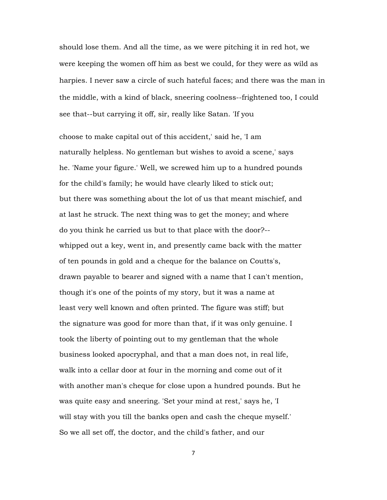should lose them. And all the time, as we were pitching it in red hot, we were keeping the women off him as best we could, for they were as wild as harpies. I never saw a circle of such hateful faces; and there was the man in the middle, with a kind of black, sneering coolness--frightened too, I could see that--but carrying it off, sir, really like Satan. 'If you

choose to make capital out of this accident,' said he, 'I am naturally helpless. No gentleman but wishes to avoid a scene,' says he. 'Name your figure.' Well, we screwed him up to a hundred pounds for the child's family; he would have clearly liked to stick out; but there was something about the lot of us that meant mischief, and at last he struck. The next thing was to get the money; and where do you think he carried us but to that place with the door?- whipped out a key, went in, and presently came back with the matter of ten pounds in gold and a cheque for the balance on Coutts's, drawn payable to bearer and signed with a name that I can't mention, though it's one of the points of my story, but it was a name at least very well known and often printed. The figure was stiff; but the signature was good for more than that, if it was only genuine. I took the liberty of pointing out to my gentleman that the whole business looked apocryphal, and that a man does not, in real life, walk into a cellar door at four in the morning and come out of it with another man's cheque for close upon a hundred pounds. But he was quite easy and sneering. 'Set your mind at rest,' says he, 'I will stay with you till the banks open and cash the cheque myself.' So we all set off, the doctor, and the child's father, and our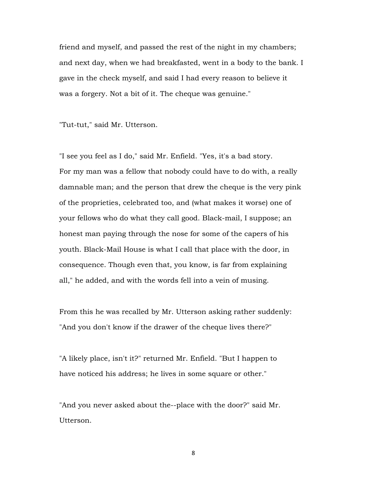friend and myself, and passed the rest of the night in my chambers; and next day, when we had breakfasted, went in a body to the bank. I gave in the check myself, and said I had every reason to believe it was a forgery. Not a bit of it. The cheque was genuine."

"Tut-tut," said Mr. Utterson.

"I see you feel as I do," said Mr. Enfield. "Yes, it's a bad story. For my man was a fellow that nobody could have to do with, a really damnable man; and the person that drew the cheque is the very pink of the proprieties, celebrated too, and (what makes it worse) one of your fellows who do what they call good. Black-mail, I suppose; an honest man paying through the nose for some of the capers of his youth. Black-Mail House is what I call that place with the door, in consequence. Though even that, you know, is far from explaining all," he added, and with the words fell into a vein of musing.

From this he was recalled by Mr. Utterson asking rather suddenly: "And you don't know if the drawer of the cheque lives there?"

"A likely place, isn't it?" returned Mr. Enfield. "But I happen to have noticed his address; he lives in some square or other."

"And you never asked about the--place with the door?" said Mr. Utterson.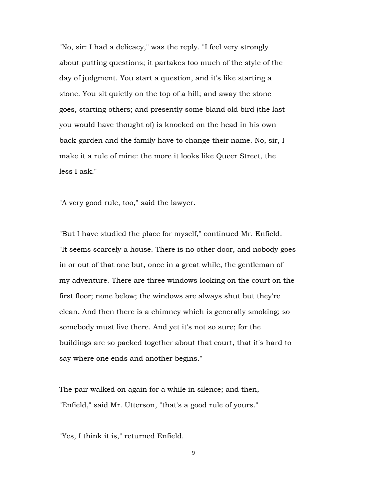"No, sir: I had a delicacy," was the reply. "I feel very strongly about putting questions; it partakes too much of the style of the day of judgment. You start a question, and it's like starting a stone. You sit quietly on the top of a hill; and away the stone goes, starting others; and presently some bland old bird (the last you would have thought of) is knocked on the head in his own back-garden and the family have to change their name. No, sir, I make it a rule of mine: the more it looks like Queer Street, the less I ask."

"A very good rule, too," said the lawyer.

"But I have studied the place for myself," continued Mr. Enfield. "It seems scarcely a house. There is no other door, and nobody goes in or out of that one but, once in a great while, the gentleman of my adventure. There are three windows looking on the court on the first floor; none below; the windows are always shut but they're clean. And then there is a chimney which is generally smoking; so somebody must live there. And yet it's not so sure; for the buildings are so packed together about that court, that it's hard to say where one ends and another begins."

The pair walked on again for a while in silence; and then, "Enfield," said Mr. Utterson, "that's a good rule of yours."

"Yes, I think it is," returned Enfield.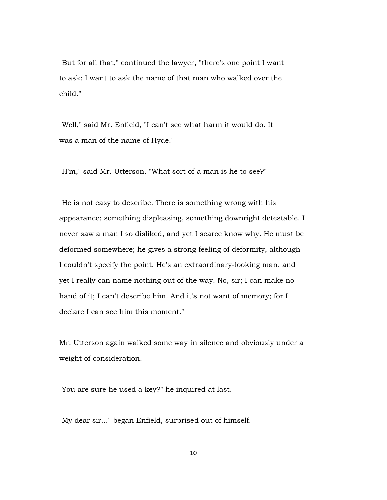"But for all that," continued the lawyer, "there's one point I want to ask: I want to ask the name of that man who walked over the child."

"Well," said Mr. Enfield, "I can't see what harm it would do. It was a man of the name of Hyde."

"H'm," said Mr. Utterson. "What sort of a man is he to see?"

"He is not easy to describe. There is something wrong with his appearance; something displeasing, something downright detestable. I never saw a man I so disliked, and yet I scarce know why. He must be deformed somewhere; he gives a strong feeling of deformity, although I couldn't specify the point. He's an extraordinary-looking man, and yet I really can name nothing out of the way. No, sir; I can make no hand of it; I can't describe him. And it's not want of memory; for I declare I can see him this moment."

Mr. Utterson again walked some way in silence and obviously under a weight of consideration.

"You are sure he used a key?" he inquired at last.

"My dear sir..." began Enfield, surprised out of himself.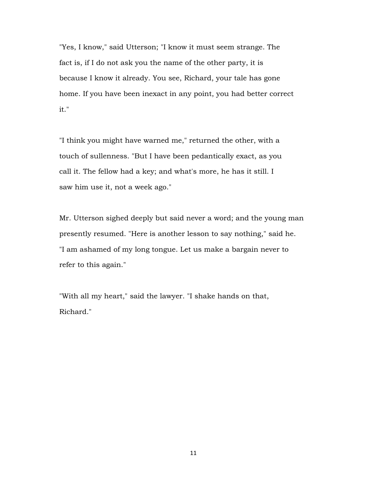"Yes, I know," said Utterson; "I know it must seem strange. The fact is, if I do not ask you the name of the other party, it is because I know it already. You see, Richard, your tale has gone home. If you have been inexact in any point, you had better correct it."

"I think you might have warned me," returned the other, with a touch of sullenness. "But I have been pedantically exact, as you call it. The fellow had a key; and what's more, he has it still. I saw him use it, not a week ago."

Mr. Utterson sighed deeply but said never a word; and the young man presently resumed. "Here is another lesson to say nothing," said he. "I am ashamed of my long tongue. Let us make a bargain never to refer to this again."

"With all my heart," said the lawyer. "I shake hands on that, Richard."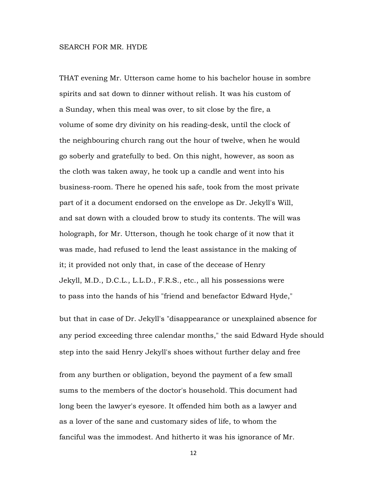#### SEARCH FOR MR. HYDE

THAT evening Mr. Utterson came home to his bachelor house in sombre spirits and sat down to dinner without relish. It was his custom of a Sunday, when this meal was over, to sit close by the fire, a volume of some dry divinity on his reading-desk, until the clock of the neighbouring church rang out the hour of twelve, when he would go soberly and gratefully to bed. On this night, however, as soon as the cloth was taken away, he took up a candle and went into his business-room. There he opened his safe, took from the most private part of it a document endorsed on the envelope as Dr. Jekyll's Will, and sat down with a clouded brow to study its contents. The will was holograph, for Mr. Utterson, though he took charge of it now that it was made, had refused to lend the least assistance in the making of it; it provided not only that, in case of the decease of Henry Jekyll, M.D., D.C.L., L.L.D., F.R.S., etc., all his possessions were to pass into the hands of his "friend and benefactor Edward Hyde,"

but that in case of Dr. Jekyll's "disappearance or unexplained absence for any period exceeding three calendar months," the said Edward Hyde should step into the said Henry Jekyll's shoes without further delay and free

from any burthen or obligation, beyond the payment of a few small sums to the members of the doctor's household. This document had long been the lawyer's eyesore. It offended him both as a lawyer and as a lover of the sane and customary sides of life, to whom the fanciful was the immodest. And hitherto it was his ignorance of Mr.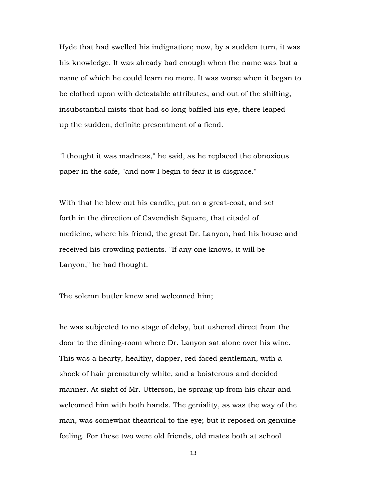Hyde that had swelled his indignation; now, by a sudden turn, it was his knowledge. It was already bad enough when the name was but a name of which he could learn no more. It was worse when it began to be clothed upon with detestable attributes; and out of the shifting, insubstantial mists that had so long baffled his eye, there leaped up the sudden, definite presentment of a fiend.

"I thought it was madness," he said, as he replaced the obnoxious paper in the safe, "and now I begin to fear it is disgrace."

With that he blew out his candle, put on a great-coat, and set forth in the direction of Cavendish Square, that citadel of medicine, where his friend, the great Dr. Lanyon, had his house and received his crowding patients. "If any one knows, it will be Lanyon," he had thought.

The solemn butler knew and welcomed him;

he was subjected to no stage of delay, but ushered direct from the door to the dining-room where Dr. Lanyon sat alone over his wine. This was a hearty, healthy, dapper, red-faced gentleman, with a shock of hair prematurely white, and a boisterous and decided manner. At sight of Mr. Utterson, he sprang up from his chair and welcomed him with both hands. The geniality, as was the way of the man, was somewhat theatrical to the eye; but it reposed on genuine feeling. For these two were old friends, old mates both at school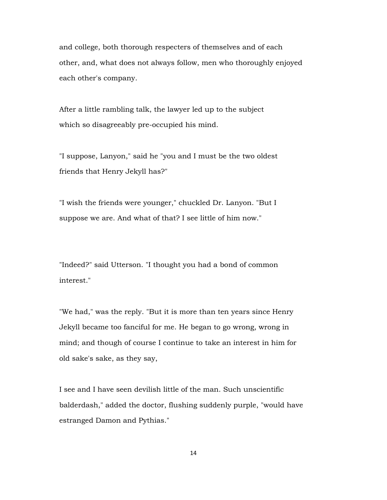and college, both thorough respecters of themselves and of each other, and, what does not always follow, men who thoroughly enjoyed each other's company.

After a little rambling talk, the lawyer led up to the subject which so disagreeably pre-occupied his mind.

"I suppose, Lanyon," said he "you and I must be the two oldest friends that Henry Jekyll has?"

"I wish the friends were younger," chuckled Dr. Lanyon. "But I suppose we are. And what of that? I see little of him now."

"Indeed?" said Utterson. "I thought you had a bond of common interest."

"We had," was the reply. "But it is more than ten years since Henry Jekyll became too fanciful for me. He began to go wrong, wrong in mind; and though of course I continue to take an interest in him for old sake's sake, as they say,

I see and I have seen devilish little of the man. Such unscientific balderdash," added the doctor, flushing suddenly purple, "would have estranged Damon and Pythias."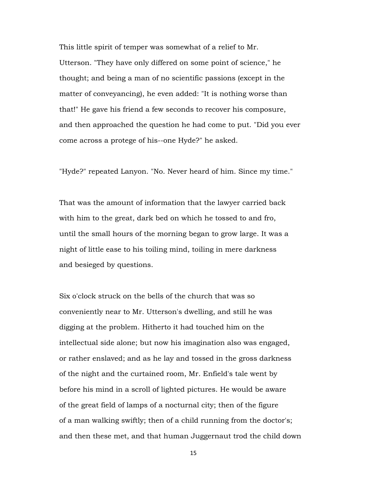This little spirit of temper was somewhat of a relief to Mr. Utterson. "They have only differed on some point of science," he thought; and being a man of no scientific passions (except in the matter of conveyancing), he even added: "It is nothing worse than that!" He gave his friend a few seconds to recover his composure, and then approached the question he had come to put. "Did you ever come across a protege of his--one Hyde?" he asked.

"Hyde?" repeated Lanyon. "No. Never heard of him. Since my time."

That was the amount of information that the lawyer carried back with him to the great, dark bed on which he tossed to and fro, until the small hours of the morning began to grow large. It was a night of little ease to his toiling mind, toiling in mere darkness and besieged by questions.

Six o'clock struck on the bells of the church that was so conveniently near to Mr. Utterson's dwelling, and still he was digging at the problem. Hitherto it had touched him on the intellectual side alone; but now his imagination also was engaged, or rather enslaved; and as he lay and tossed in the gross darkness of the night and the curtained room, Mr. Enfield's tale went by before his mind in a scroll of lighted pictures. He would be aware of the great field of lamps of a nocturnal city; then of the figure of a man walking swiftly; then of a child running from the doctor's; and then these met, and that human Juggernaut trod the child down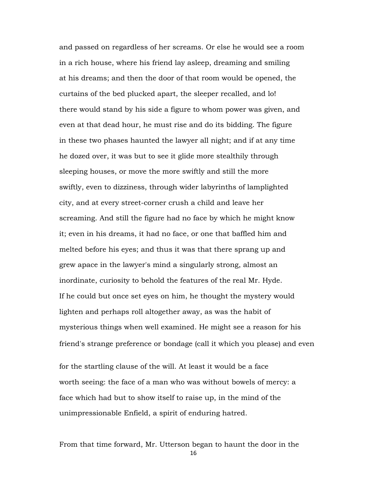and passed on regardless of her screams. Or else he would see a room in a rich house, where his friend lay asleep, dreaming and smiling at his dreams; and then the door of that room would be opened, the curtains of the bed plucked apart, the sleeper recalled, and lo! there would stand by his side a figure to whom power was given, and even at that dead hour, he must rise and do its bidding. The figure in these two phases haunted the lawyer all night; and if at any time he dozed over, it was but to see it glide more stealthily through sleeping houses, or move the more swiftly and still the more swiftly, even to dizziness, through wider labyrinths of lamplighted city, and at every street-corner crush a child and leave her screaming. And still the figure had no face by which he might know it; even in his dreams, it had no face, or one that baffled him and melted before his eyes; and thus it was that there sprang up and grew apace in the lawyer's mind a singularly strong, almost an inordinate, curiosity to behold the features of the real Mr. Hyde. If he could but once set eyes on him, he thought the mystery would lighten and perhaps roll altogether away, as was the habit of mysterious things when well examined. He might see a reason for his friend's strange preference or bondage (call it which you please) and even

for the startling clause of the will. At least it would be a face worth seeing: the face of a man who was without bowels of mercy: a face which had but to show itself to raise up, in the mind of the unimpressionable Enfield, a spirit of enduring hatred.

From that time forward, Mr. Utterson began to haunt the door in the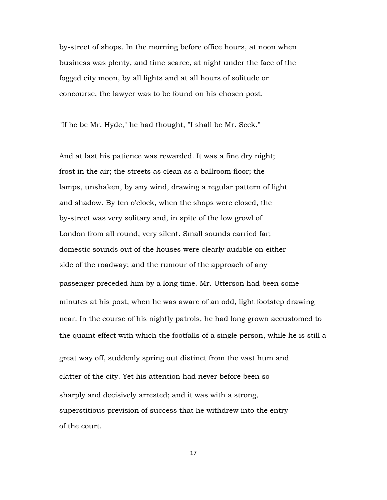by-street of shops. In the morning before office hours, at noon when business was plenty, and time scarce, at night under the face of the fogged city moon, by all lights and at all hours of solitude or concourse, the lawyer was to be found on his chosen post.

"If he be Mr. Hyde," he had thought, "I shall be Mr. Seek."

And at last his patience was rewarded. It was a fine dry night; frost in the air; the streets as clean as a ballroom floor; the lamps, unshaken, by any wind, drawing a regular pattern of light and shadow. By ten o'clock, when the shops were closed, the by-street was very solitary and, in spite of the low growl of London from all round, very silent. Small sounds carried far; domestic sounds out of the houses were clearly audible on either side of the roadway; and the rumour of the approach of any passenger preceded him by a long time. Mr. Utterson had been some minutes at his post, when he was aware of an odd, light footstep drawing near. In the course of his nightly patrols, he had long grown accustomed to the quaint effect with which the footfalls of a single person, while he is still a great way off, suddenly spring out distinct from the vast hum and clatter of the city. Yet his attention had never before been so sharply and decisively arrested; and it was with a strong, superstitious prevision of success that he withdrew into the entry of the court.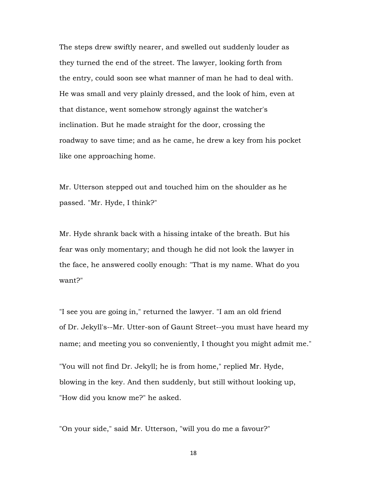The steps drew swiftly nearer, and swelled out suddenly louder as they turned the end of the street. The lawyer, looking forth from the entry, could soon see what manner of man he had to deal with. He was small and very plainly dressed, and the look of him, even at that distance, went somehow strongly against the watcher's inclination. But he made straight for the door, crossing the roadway to save time; and as he came, he drew a key from his pocket like one approaching home.

Mr. Utterson stepped out and touched him on the shoulder as he passed. "Mr. Hyde, I think?"

Mr. Hyde shrank back with a hissing intake of the breath. But his fear was only momentary; and though he did not look the lawyer in the face, he answered coolly enough: "That is my name. What do you want?"

"I see you are going in," returned the lawyer. "I am an old friend of Dr. Jekyll's--Mr. Utter-son of Gaunt Street--you must have heard my name; and meeting you so conveniently, I thought you might admit me."

"You will not find Dr. Jekyll; he is from home," replied Mr. Hyde, blowing in the key. And then suddenly, but still without looking up, "How did you know me?" he asked.

"On your side," said Mr. Utterson, "will you do me a favour?"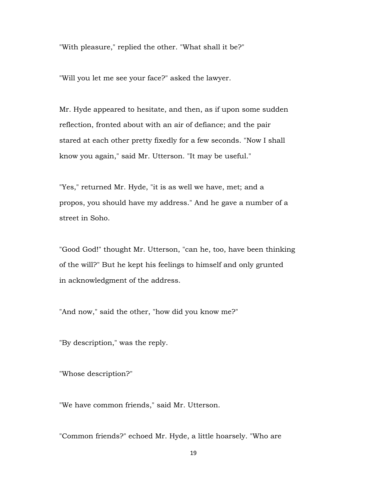"With pleasure," replied the other. "What shall it be?"

"Will you let me see your face?" asked the lawyer.

Mr. Hyde appeared to hesitate, and then, as if upon some sudden reflection, fronted about with an air of defiance; and the pair stared at each other pretty fixedly for a few seconds. "Now I shall know you again," said Mr. Utterson. "It may be useful."

"Yes," returned Mr. Hyde, "it is as well we have, met; and a propos, you should have my address." And he gave a number of a street in Soho.

"Good God!" thought Mr. Utterson, "can he, too, have been thinking of the will?" But he kept his feelings to himself and only grunted in acknowledgment of the address.

"And now," said the other, "how did you know me?"

"By description," was the reply.

"Whose description?"

"We have common friends," said Mr. Utterson.

"Common friends?" echoed Mr. Hyde, a little hoarsely. "Who are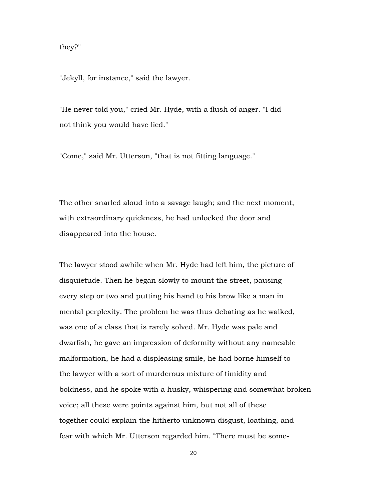they?"

"Jekyll, for instance," said the lawyer.

"He never told you," cried Mr. Hyde, with a flush of anger. "I did not think you would have lied."

"Come," said Mr. Utterson, "that is not fitting language."

The other snarled aloud into a savage laugh; and the next moment, with extraordinary quickness, he had unlocked the door and disappeared into the house.

The lawyer stood awhile when Mr. Hyde had left him, the picture of disquietude. Then he began slowly to mount the street, pausing every step or two and putting his hand to his brow like a man in mental perplexity. The problem he was thus debating as he walked, was one of a class that is rarely solved. Mr. Hyde was pale and dwarfish, he gave an impression of deformity without any nameable malformation, he had a displeasing smile, he had borne himself to the lawyer with a sort of murderous mixture of timidity and boldness, and he spoke with a husky, whispering and somewhat broken voice; all these were points against him, but not all of these together could explain the hitherto unknown disgust, loathing, and fear with which Mr. Utterson regarded him. "There must be some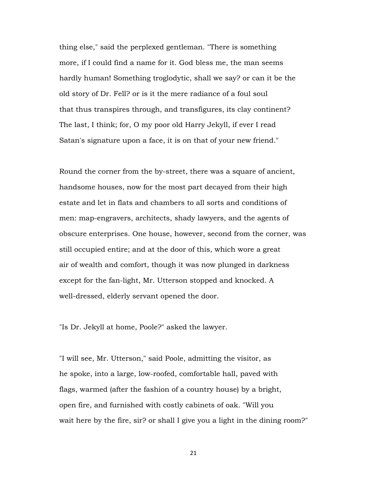thing else," said the perplexed gentleman. "There is something more, if I could find a name for it. God bless me, the man seems hardly human! Something troglodytic, shall we say? or can it be the old story of Dr. Fell? or is it the mere radiance of a foul soul that thus transpires through, and transfigures, its clay continent? The last, I think; for, O my poor old Harry Jekyll, if ever I read Satan's signature upon a face, it is on that of your new friend."

Round the corner from the by-street, there was a square of ancient, handsome houses, now for the most part decayed from their high estate and let in flats and chambers to all sorts and conditions of men: map-engravers, architects, shady lawyers, and the agents of obscure enterprises. One house, however, second from the corner, was still occupied entire; and at the door of this, which wore a great air of wealth and comfort, though it was now plunged in darkness except for the fan-light, Mr. Utterson stopped and knocked. A well-dressed, elderly servant opened the door.

"Is Dr. Jekyll at home, Poole?" asked the lawyer.

"I will see, Mr. Utterson," said Poole, admitting the visitor, as he spoke, into a large, low-roofed, comfortable hall, paved with flags, warmed (after the fashion of a country house) by a bright, open fire, and furnished with costly cabinets of oak. "Will you wait here by the fire, sir? or shall I give you a light in the dining room?"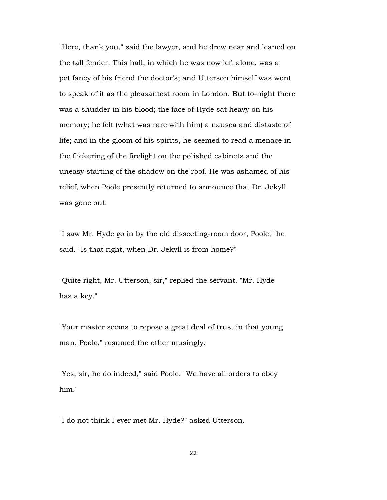"Here, thank you," said the lawyer, and he drew near and leaned on the tall fender. This hall, in which he was now left alone, was a pet fancy of his friend the doctor's; and Utterson himself was wont to speak of it as the pleasantest room in London. But to-night there was a shudder in his blood; the face of Hyde sat heavy on his memory; he felt (what was rare with him) a nausea and distaste of life; and in the gloom of his spirits, he seemed to read a menace in the flickering of the firelight on the polished cabinets and the uneasy starting of the shadow on the roof. He was ashamed of his relief, when Poole presently returned to announce that Dr. Jekyll was gone out.

"I saw Mr. Hyde go in by the old dissecting-room door, Poole," he said. "Is that right, when Dr. Jekyll is from home?"

"Quite right, Mr. Utterson, sir," replied the servant. "Mr. Hyde has a key."

"Your master seems to repose a great deal of trust in that young man, Poole," resumed the other musingly.

"Yes, sir, he do indeed," said Poole. "We have all orders to obey him."

"I do not think I ever met Mr. Hyde?" asked Utterson.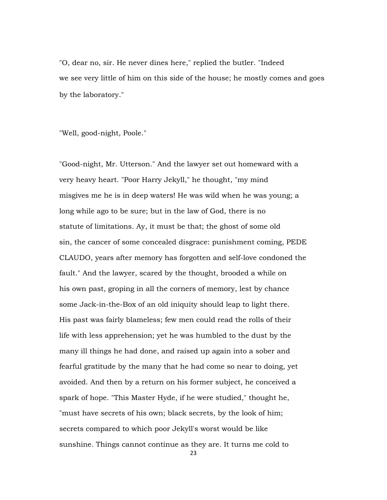"O, dear no, sir. He never dines here," replied the butler. "Indeed we see very little of him on this side of the house; he mostly comes and goes by the laboratory."

"Well, good-night, Poole."

"Good-night, Mr. Utterson." And the lawyer set out homeward with a very heavy heart. "Poor Harry Jekyll," he thought, "my mind misgives me he is in deep waters! He was wild when he was young; a long while ago to be sure; but in the law of God, there is no statute of limitations. Ay, it must be that; the ghost of some old sin, the cancer of some concealed disgrace: punishment coming, PEDE CLAUDO, years after memory has forgotten and self-love condoned the fault." And the lawyer, scared by the thought, brooded a while on his own past, groping in all the corners of memory, lest by chance some Jack-in-the-Box of an old iniquity should leap to light there. His past was fairly blameless; few men could read the rolls of their life with less apprehension; yet he was humbled to the dust by the many ill things he had done, and raised up again into a sober and fearful gratitude by the many that he had come so near to doing, yet avoided. And then by a return on his former subject, he conceived a spark of hope. "This Master Hyde, if he were studied," thought he, "must have secrets of his own; black secrets, by the look of him; secrets compared to which poor Jekyll's worst would be like sunshine. Things cannot continue as they are. It turns me cold to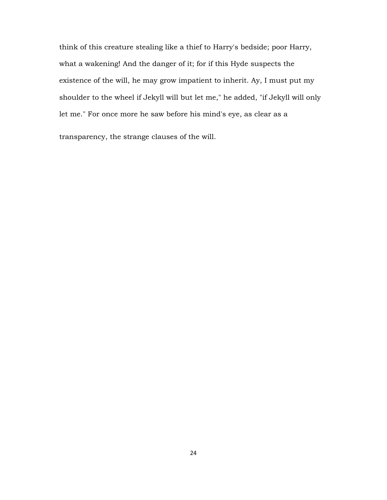think of this creature stealing like a thief to Harry's bedside; poor Harry, what a wakening! And the danger of it; for if this Hyde suspects the existence of the will, he may grow impatient to inherit. Ay, I must put my shoulder to the wheel if Jekyll will but let me," he added, "if Jekyll will only let me." For once more he saw before his mind's eye, as clear as a

transparency, the strange clauses of the will.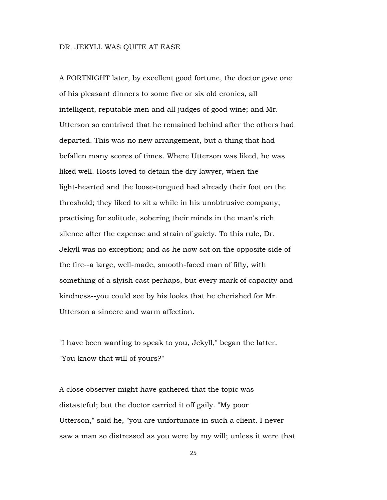# DR. JEKYLL WAS QUITE AT EASE

A FORTNIGHT later, by excellent good fortune, the doctor gave one of his pleasant dinners to some five or six old cronies, all intelligent, reputable men and all judges of good wine; and Mr. Utterson so contrived that he remained behind after the others had departed. This was no new arrangement, but a thing that had befallen many scores of times. Where Utterson was liked, he was liked well. Hosts loved to detain the dry lawyer, when the light-hearted and the loose-tongued had already their foot on the threshold; they liked to sit a while in his unobtrusive company, practising for solitude, sobering their minds in the man's rich silence after the expense and strain of gaiety. To this rule, Dr. Jekyll was no exception; and as he now sat on the opposite side of the fire--a large, well-made, smooth-faced man of fifty, with something of a slyish cast perhaps, but every mark of capacity and kindness--you could see by his looks that he cherished for Mr. Utterson a sincere and warm affection.

"I have been wanting to speak to you, Jekyll," began the latter. "You know that will of yours?"

A close observer might have gathered that the topic was distasteful; but the doctor carried it off gaily. "My poor Utterson," said he, "you are unfortunate in such a client. I never saw a man so distressed as you were by my will; unless it were that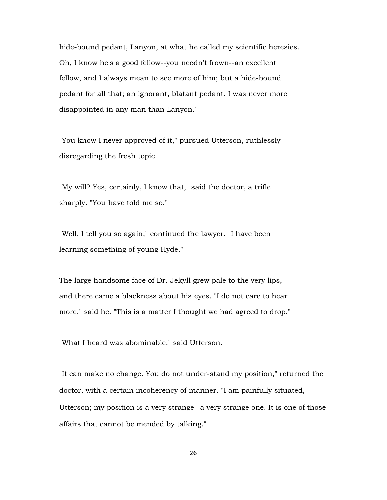hide-bound pedant, Lanyon, at what he called my scientific heresies. Oh, I know he's a good fellow--you needn't frown--an excellent fellow, and I always mean to see more of him; but a hide-bound pedant for all that; an ignorant, blatant pedant. I was never more disappointed in any man than Lanyon."

"You know I never approved of it," pursued Utterson, ruthlessly disregarding the fresh topic.

"My will? Yes, certainly, I know that," said the doctor, a trifle sharply. "You have told me so."

"Well, I tell you so again," continued the lawyer. "I have been learning something of young Hyde."

The large handsome face of Dr. Jekyll grew pale to the very lips, and there came a blackness about his eyes. "I do not care to hear more," said he. "This is a matter I thought we had agreed to drop."

"What I heard was abominable," said Utterson.

"It can make no change. You do not under-stand my position," returned the doctor, with a certain incoherency of manner. "I am painfully situated, Utterson; my position is a very strange--a very strange one. It is one of those affairs that cannot be mended by talking."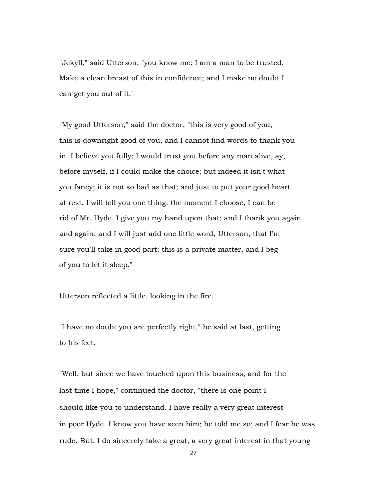"Jekyll," said Utterson, "you know me: I am a man to be trusted. Make a clean breast of this in confidence; and I make no doubt I can get you out of it."

"My good Utterson," said the doctor, "this is very good of you, this is downright good of you, and I cannot find words to thank you in. I believe you fully; I would trust you before any man alive, ay, before myself, if I could make the choice; but indeed it isn't what you fancy; it is not so bad as that; and just to put your good heart at rest, I will tell you one thing: the moment I choose, I can be rid of Mr. Hyde. I give you my hand upon that; and I thank you again and again; and I will just add one little word, Utterson, that I'm sure you'll take in good part: this is a private matter, and I beg of you to let it sleep."

Utterson reflected a little, looking in the fire.

"I have no doubt you are perfectly right," he said at last, getting to his feet.

"Well, but since we have touched upon this business, and for the last time I hope," continued the doctor, "there is one point I should like you to understand. I have really a very great interest in poor Hyde. I know you have seen him; he told me so; and I fear he was rude. But, I do sincerely take a great, a very great interest in that young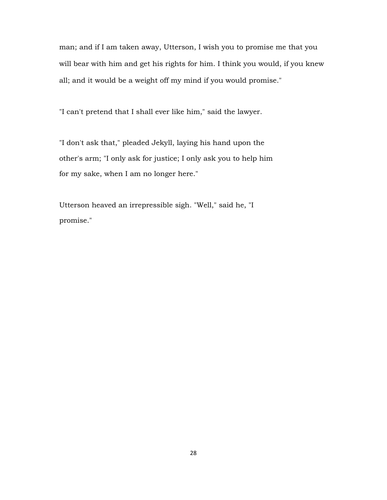man; and if I am taken away, Utterson, I wish you to promise me that you will bear with him and get his rights for him. I think you would, if you knew all; and it would be a weight off my mind if you would promise."

"I can't pretend that I shall ever like him," said the lawyer.

"I don't ask that," pleaded Jekyll, laying his hand upon the other's arm; "I only ask for justice; I only ask you to help him for my sake, when I am no longer here."

Utterson heaved an irrepressible sigh. "Well," said he, "I promise."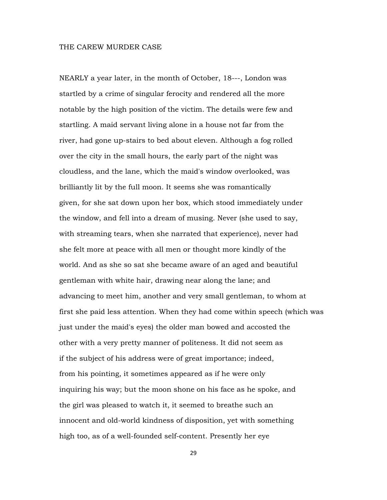## THE CAREW MURDER CASE

NEARLY a year later, in the month of October, 18---, London was startled by a crime of singular ferocity and rendered all the more notable by the high position of the victim. The details were few and startling. A maid servant living alone in a house not far from the river, had gone up-stairs to bed about eleven. Although a fog rolled over the city in the small hours, the early part of the night was cloudless, and the lane, which the maid's window overlooked, was brilliantly lit by the full moon. It seems she was romantically given, for she sat down upon her box, which stood immediately under the window, and fell into a dream of musing. Never (she used to say, with streaming tears, when she narrated that experience), never had she felt more at peace with all men or thought more kindly of the world. And as she so sat she became aware of an aged and beautiful gentleman with white hair, drawing near along the lane; and advancing to meet him, another and very small gentleman, to whom at first she paid less attention. When they had come within speech (which was just under the maid's eyes) the older man bowed and accosted the other with a very pretty manner of politeness. It did not seem as if the subject of his address were of great importance; indeed, from his pointing, it sometimes appeared as if he were only inquiring his way; but the moon shone on his face as he spoke, and the girl was pleased to watch it, it seemed to breathe such an innocent and old-world kindness of disposition, yet with something high too, as of a well-founded self-content. Presently her eye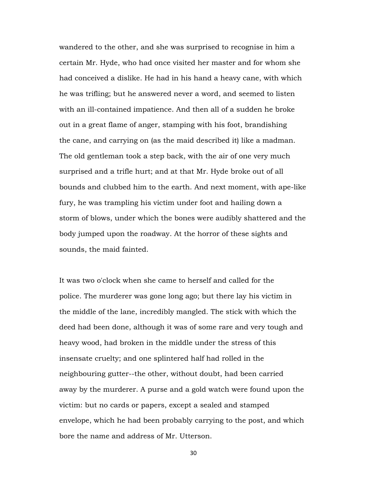wandered to the other, and she was surprised to recognise in him a certain Mr. Hyde, who had once visited her master and for whom she had conceived a dislike. He had in his hand a heavy cane, with which he was trifling; but he answered never a word, and seemed to listen with an ill-contained impatience. And then all of a sudden he broke out in a great flame of anger, stamping with his foot, brandishing the cane, and carrying on (as the maid described it) like a madman. The old gentleman took a step back, with the air of one very much surprised and a trifle hurt; and at that Mr. Hyde broke out of all bounds and clubbed him to the earth. And next moment, with ape-like fury, he was trampling his victim under foot and hailing down a storm of blows, under which the bones were audibly shattered and the body jumped upon the roadway. At the horror of these sights and sounds, the maid fainted.

It was two o'clock when she came to herself and called for the police. The murderer was gone long ago; but there lay his victim in the middle of the lane, incredibly mangled. The stick with which the deed had been done, although it was of some rare and very tough and heavy wood, had broken in the middle under the stress of this insensate cruelty; and one splintered half had rolled in the neighbouring gutter--the other, without doubt, had been carried away by the murderer. A purse and a gold watch were found upon the victim: but no cards or papers, except a sealed and stamped envelope, which he had been probably carrying to the post, and which bore the name and address of Mr. Utterson.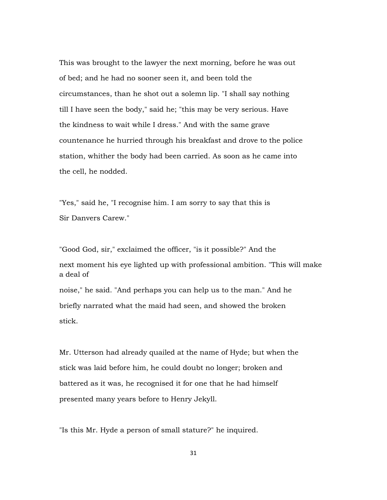This was brought to the lawyer the next morning, before he was out of bed; and he had no sooner seen it, and been told the circumstances, than he shot out a solemn lip. "I shall say nothing till I have seen the body," said he; "this may be very serious. Have the kindness to wait while I dress." And with the same grave countenance he hurried through his breakfast and drove to the police station, whither the body had been carried. As soon as he came into the cell, he nodded.

"Yes," said he, "I recognise him. I am sorry to say that this is Sir Danvers Carew."

"Good God, sir," exclaimed the officer, "is it possible?" And the next moment his eye lighted up with professional ambition. "This will make a deal of noise," he said. "And perhaps you can help us to the man." And he briefly narrated what the maid had seen, and showed the broken stick.

Mr. Utterson had already quailed at the name of Hyde; but when the stick was laid before him, he could doubt no longer; broken and battered as it was, he recognised it for one that he had himself presented many years before to Henry Jekyll.

"Is this Mr. Hyde a person of small stature?" he inquired.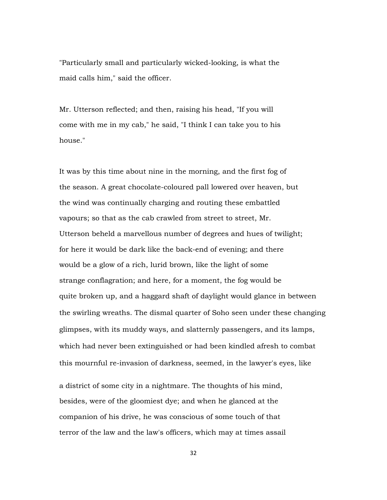"Particularly small and particularly wicked-looking, is what the maid calls him," said the officer.

Mr. Utterson reflected; and then, raising his head, "If you will come with me in my cab," he said, "I think I can take you to his house."

It was by this time about nine in the morning, and the first fog of the season. A great chocolate-coloured pall lowered over heaven, but the wind was continually charging and routing these embattled vapours; so that as the cab crawled from street to street, Mr. Utterson beheld a marvellous number of degrees and hues of twilight; for here it would be dark like the back-end of evening; and there would be a glow of a rich, lurid brown, like the light of some strange conflagration; and here, for a moment, the fog would be quite broken up, and a haggard shaft of daylight would glance in between the swirling wreaths. The dismal quarter of Soho seen under these changing glimpses, with its muddy ways, and slatternly passengers, and its lamps, which had never been extinguished or had been kindled afresh to combat this mournful re-invasion of darkness, seemed, in the lawyer's eyes, like

a district of some city in a nightmare. The thoughts of his mind, besides, were of the gloomiest dye; and when he glanced at the companion of his drive, he was conscious of some touch of that terror of the law and the law's officers, which may at times assail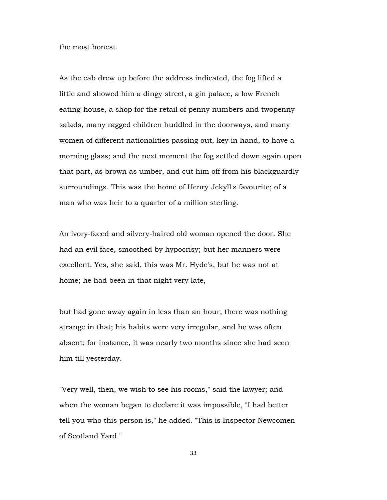the most honest.

As the cab drew up before the address indicated, the fog lifted a little and showed him a dingy street, a gin palace, a low French eating-house, a shop for the retail of penny numbers and twopenny salads, many ragged children huddled in the doorways, and many women of different nationalities passing out, key in hand, to have a morning glass; and the next moment the fog settled down again upon that part, as brown as umber, and cut him off from his blackguardly surroundings. This was the home of Henry Jekyll's favourite; of a man who was heir to a quarter of a million sterling.

An ivory-faced and silvery-haired old woman opened the door. She had an evil face, smoothed by hypocrisy; but her manners were excellent. Yes, she said, this was Mr. Hyde's, but he was not at home; he had been in that night very late,

but had gone away again in less than an hour; there was nothing strange in that; his habits were very irregular, and he was often absent; for instance, it was nearly two months since she had seen him till yesterday.

"Very well, then, we wish to see his rooms," said the lawyer; and when the woman began to declare it was impossible, "I had better tell you who this person is," he added. "This is Inspector Newcomen of Scotland Yard."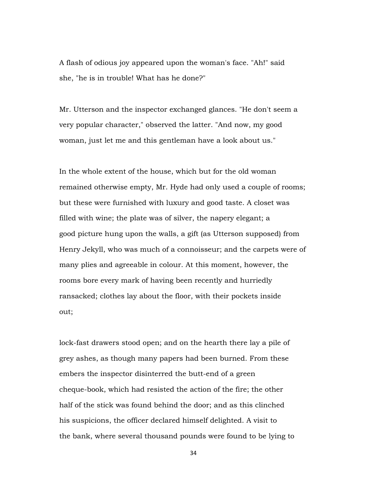A flash of odious joy appeared upon the woman's face. "Ah!" said she, "he is in trouble! What has he done?"

Mr. Utterson and the inspector exchanged glances. "He don't seem a very popular character," observed the latter. "And now, my good woman, just let me and this gentleman have a look about us."

In the whole extent of the house, which but for the old woman remained otherwise empty, Mr. Hyde had only used a couple of rooms; but these were furnished with luxury and good taste. A closet was filled with wine; the plate was of silver, the napery elegant; a good picture hung upon the walls, a gift (as Utterson supposed) from Henry Jekyll, who was much of a connoisseur; and the carpets were of many plies and agreeable in colour. At this moment, however, the rooms bore every mark of having been recently and hurriedly ransacked; clothes lay about the floor, with their pockets inside out;

lock-fast drawers stood open; and on the hearth there lay a pile of grey ashes, as though many papers had been burned. From these embers the inspector disinterred the butt-end of a green cheque-book, which had resisted the action of the fire; the other half of the stick was found behind the door; and as this clinched his suspicions, the officer declared himself delighted. A visit to the bank, where several thousand pounds were found to be lying to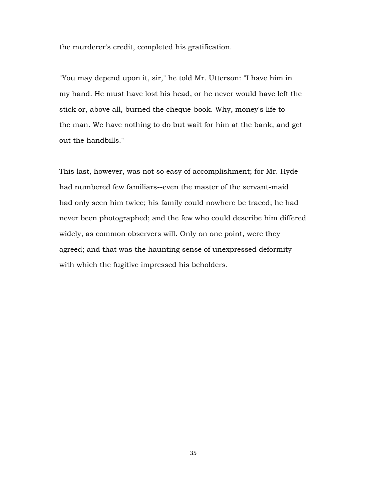the murderer's credit, completed his gratification.

"You may depend upon it, sir," he told Mr. Utterson: "I have him in my hand. He must have lost his head, or he never would have left the stick or, above all, burned the cheque-book. Why, money's life to the man. We have nothing to do but wait for him at the bank, and get out the handbills."

This last, however, was not so easy of accomplishment; for Mr. Hyde had numbered few familiars--even the master of the servant-maid had only seen him twice; his family could nowhere be traced; he had never been photographed; and the few who could describe him differed widely, as common observers will. Only on one point, were they agreed; and that was the haunting sense of unexpressed deformity with which the fugitive impressed his beholders.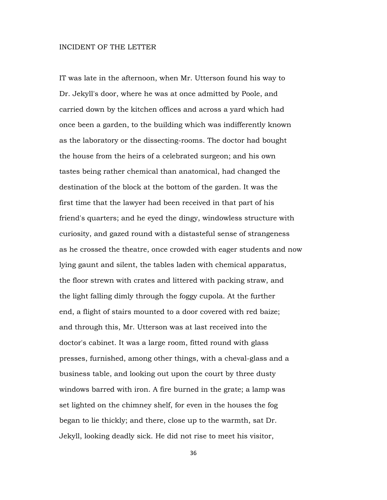## INCIDENT OF THE LETTER

IT was late in the afternoon, when Mr. Utterson found his way to Dr. Jekyll's door, where he was at once admitted by Poole, and carried down by the kitchen offices and across a yard which had once been a garden, to the building which was indifferently known as the laboratory or the dissecting-rooms. The doctor had bought the house from the heirs of a celebrated surgeon; and his own tastes being rather chemical than anatomical, had changed the destination of the block at the bottom of the garden. It was the first time that the lawyer had been received in that part of his friend's quarters; and he eyed the dingy, windowless structure with curiosity, and gazed round with a distasteful sense of strangeness as he crossed the theatre, once crowded with eager students and now lying gaunt and silent, the tables laden with chemical apparatus, the floor strewn with crates and littered with packing straw, and the light falling dimly through the foggy cupola. At the further end, a flight of stairs mounted to a door covered with red baize; and through this, Mr. Utterson was at last received into the doctor's cabinet. It was a large room, fitted round with glass presses, furnished, among other things, with a cheval-glass and a business table, and looking out upon the court by three dusty windows barred with iron. A fire burned in the grate; a lamp was set lighted on the chimney shelf, for even in the houses the fog began to lie thickly; and there, close up to the warmth, sat Dr. Jekyll, looking deadly sick. He did not rise to meet his visitor,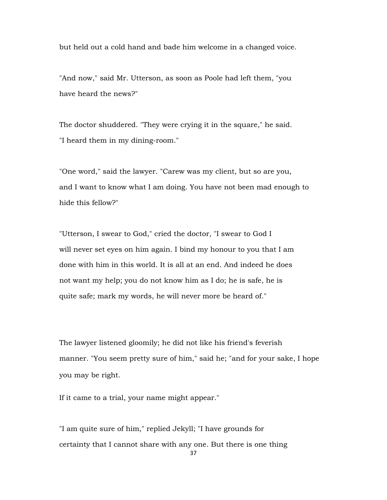but held out a cold hand and bade him welcome in a changed voice.

"And now," said Mr. Utterson, as soon as Poole had left them, "you have heard the news?"

The doctor shuddered. "They were crying it in the square," he said. "I heard them in my dining-room."

"One word," said the lawyer. "Carew was my client, but so are you, and I want to know what I am doing. You have not been mad enough to hide this fellow?"

"Utterson, I swear to God," cried the doctor, "I swear to God I will never set eyes on him again. I bind my honour to you that I am done with him in this world. It is all at an end. And indeed he does not want my help; you do not know him as I do; he is safe, he is quite safe; mark my words, he will never more be heard of."

The lawyer listened gloomily; he did not like his friend's feverish manner. "You seem pretty sure of him," said he; "and for your sake, I hope you may be right.

If it came to a trial, your name might appear."

"I am quite sure of him," replied Jekyll; "I have grounds for certainty that I cannot share with any one. But there is one thing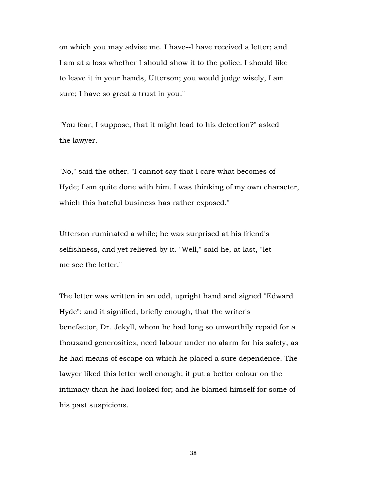on which you may advise me. I have--I have received a letter; and I am at a loss whether I should show it to the police. I should like to leave it in your hands, Utterson; you would judge wisely, I am sure; I have so great a trust in you."

"You fear, I suppose, that it might lead to his detection?" asked the lawyer.

"No," said the other. "I cannot say that I care what becomes of Hyde; I am quite done with him. I was thinking of my own character, which this hateful business has rather exposed."

Utterson ruminated a while; he was surprised at his friend's selfishness, and yet relieved by it. "Well," said he, at last, "let me see the letter."

The letter was written in an odd, upright hand and signed "Edward Hyde": and it signified, briefly enough, that the writer's benefactor, Dr. Jekyll, whom he had long so unworthily repaid for a thousand generosities, need labour under no alarm for his safety, as he had means of escape on which he placed a sure dependence. The lawyer liked this letter well enough; it put a better colour on the intimacy than he had looked for; and he blamed himself for some of his past suspicions.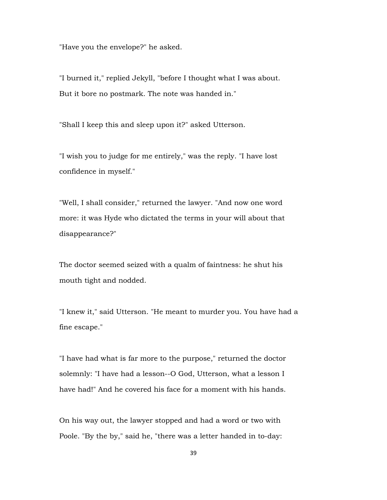"Have you the envelope?" he asked.

"I burned it," replied Jekyll, "before I thought what I was about. But it bore no postmark. The note was handed in."

"Shall I keep this and sleep upon it?" asked Utterson.

"I wish you to judge for me entirely," was the reply. "I have lost confidence in myself."

"Well, I shall consider," returned the lawyer. "And now one word more: it was Hyde who dictated the terms in your will about that disappearance?"

The doctor seemed seized with a qualm of faintness: he shut his mouth tight and nodded.

"I knew it," said Utterson. "He meant to murder you. You have had a fine escape."

"I have had what is far more to the purpose," returned the doctor solemnly: "I have had a lesson--O God, Utterson, what a lesson I have had!" And he covered his face for a moment with his hands.

On his way out, the lawyer stopped and had a word or two with Poole. "By the by," said he, "there was a letter handed in to-day: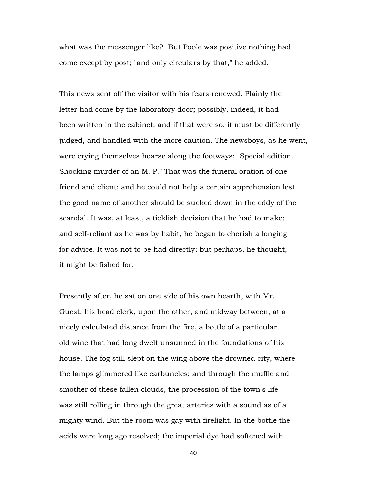what was the messenger like?" But Poole was positive nothing had come except by post; "and only circulars by that," he added.

This news sent off the visitor with his fears renewed. Plainly the letter had come by the laboratory door; possibly, indeed, it had been written in the cabinet; and if that were so, it must be differently judged, and handled with the more caution. The newsboys, as he went, were crying themselves hoarse along the footways: "Special edition. Shocking murder of an M. P." That was the funeral oration of one friend and client; and he could not help a certain apprehension lest the good name of another should be sucked down in the eddy of the scandal. It was, at least, a ticklish decision that he had to make; and self-reliant as he was by habit, he began to cherish a longing for advice. It was not to be had directly; but perhaps, he thought, it might be fished for.

Presently after, he sat on one side of his own hearth, with Mr. Guest, his head clerk, upon the other, and midway between, at a nicely calculated distance from the fire, a bottle of a particular old wine that had long dwelt unsunned in the foundations of his house. The fog still slept on the wing above the drowned city, where the lamps glimmered like carbuncles; and through the muffle and smother of these fallen clouds, the procession of the town's life was still rolling in through the great arteries with a sound as of a mighty wind. But the room was gay with firelight. In the bottle the acids were long ago resolved; the imperial dye had softened with

40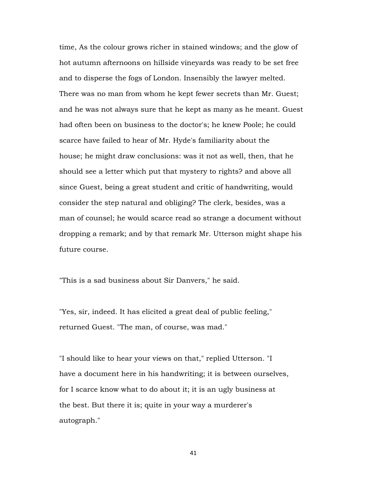time, As the colour grows richer in stained windows; and the glow of hot autumn afternoons on hillside vineyards was ready to be set free and to disperse the fogs of London. Insensibly the lawyer melted. There was no man from whom he kept fewer secrets than Mr. Guest; and he was not always sure that he kept as many as he meant. Guest had often been on business to the doctor's; he knew Poole; he could scarce have failed to hear of Mr. Hyde's familiarity about the house; he might draw conclusions: was it not as well, then, that he should see a letter which put that mystery to rights? and above all since Guest, being a great student and critic of handwriting, would consider the step natural and obliging? The clerk, besides, was a man of counsel; he would scarce read so strange a document without dropping a remark; and by that remark Mr. Utterson might shape his future course.

"This is a sad business about Sir Danvers," he said.

"Yes, sir, indeed. It has elicited a great deal of public feeling," returned Guest. "The man, of course, was mad."

"I should like to hear your views on that," replied Utterson. "I have a document here in his handwriting; it is between ourselves, for I scarce know what to do about it; it is an ugly business at the best. But there it is; quite in your way a murderer's autograph."

41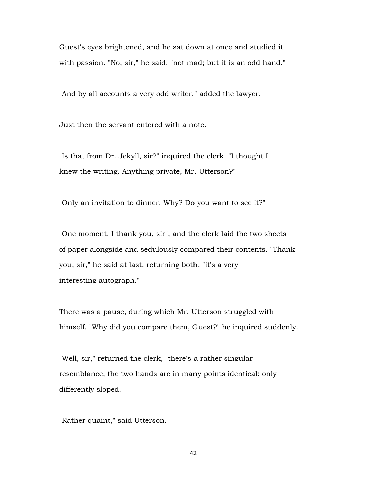Guest's eyes brightened, and he sat down at once and studied it with passion. "No, sir," he said: "not mad; but it is an odd hand."

"And by all accounts a very odd writer," added the lawyer.

Just then the servant entered with a note.

"Is that from Dr. Jekyll, sir?" inquired the clerk. "I thought I knew the writing. Anything private, Mr. Utterson?"

"Only an invitation to dinner. Why? Do you want to see it?"

"One moment. I thank you, sir"; and the clerk laid the two sheets of paper alongside and sedulously compared their contents. "Thank you, sir," he said at last, returning both; "it's a very interesting autograph."

There was a pause, during which Mr. Utterson struggled with himself. "Why did you compare them, Guest?" he inquired suddenly.

"Well, sir," returned the clerk, "there's a rather singular resemblance; the two hands are in many points identical: only differently sloped."

"Rather quaint," said Utterson.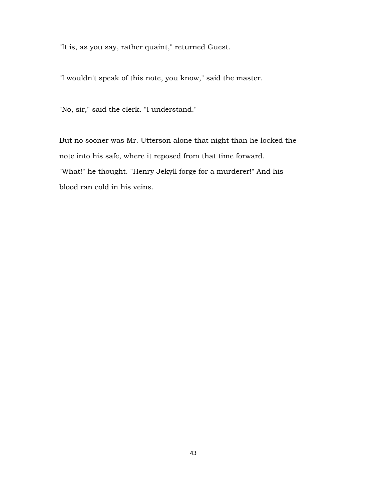"It is, as you say, rather quaint," returned Guest.

"I wouldn't speak of this note, you know," said the master.

"No, sir," said the clerk. "I understand."

But no sooner was Mr. Utterson alone that night than he locked the note into his safe, where it reposed from that time forward. "What!" he thought. "Henry Jekyll forge for a murderer!" And his blood ran cold in his veins.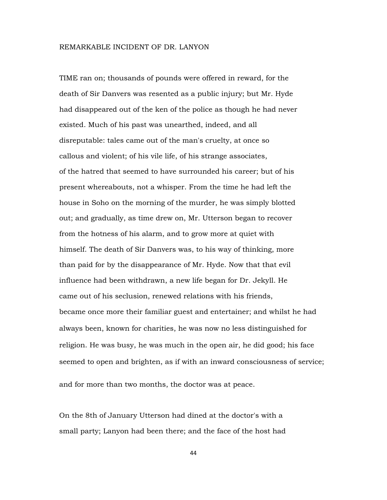## REMARKABLE INCIDENT OF DR. LANYON

TIME ran on; thousands of pounds were offered in reward, for the death of Sir Danvers was resented as a public injury; but Mr. Hyde had disappeared out of the ken of the police as though he had never existed. Much of his past was unearthed, indeed, and all disreputable: tales came out of the man's cruelty, at once so callous and violent; of his vile life, of his strange associates, of the hatred that seemed to have surrounded his career; but of his present whereabouts, not a whisper. From the time he had left the house in Soho on the morning of the murder, he was simply blotted out; and gradually, as time drew on, Mr. Utterson began to recover from the hotness of his alarm, and to grow more at quiet with himself. The death of Sir Danvers was, to his way of thinking, more than paid for by the disappearance of Mr. Hyde. Now that that evil influence had been withdrawn, a new life began for Dr. Jekyll. He came out of his seclusion, renewed relations with his friends, became once more their familiar guest and entertainer; and whilst he had always been, known for charities, he was now no less distinguished for religion. He was busy, he was much in the open air, he did good; his face seemed to open and brighten, as if with an inward consciousness of service; and for more than two months, the doctor was at peace.

On the 8th of January Utterson had dined at the doctor's with a small party; Lanyon had been there; and the face of the host had

44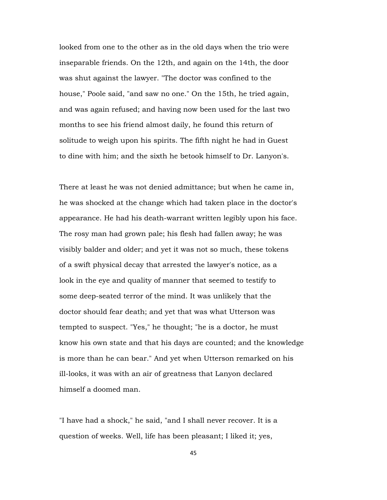looked from one to the other as in the old days when the trio were inseparable friends. On the 12th, and again on the 14th, the door was shut against the lawyer. "The doctor was confined to the house," Poole said, "and saw no one." On the 15th, he tried again, and was again refused; and having now been used for the last two months to see his friend almost daily, he found this return of solitude to weigh upon his spirits. The fifth night he had in Guest to dine with him; and the sixth he betook himself to Dr. Lanyon's.

There at least he was not denied admittance; but when he came in, he was shocked at the change which had taken place in the doctor's appearance. He had his death-warrant written legibly upon his face. The rosy man had grown pale; his flesh had fallen away; he was visibly balder and older; and yet it was not so much, these tokens of a swift physical decay that arrested the lawyer's notice, as a look in the eye and quality of manner that seemed to testify to some deep-seated terror of the mind. It was unlikely that the doctor should fear death; and yet that was what Utterson was tempted to suspect. "Yes," he thought; "he is a doctor, he must know his own state and that his days are counted; and the knowledge is more than he can bear." And yet when Utterson remarked on his ill-looks, it was with an air of greatness that Lanyon declared himself a doomed man.

"I have had a shock," he said, "and I shall never recover. It is a question of weeks. Well, life has been pleasant; I liked it; yes,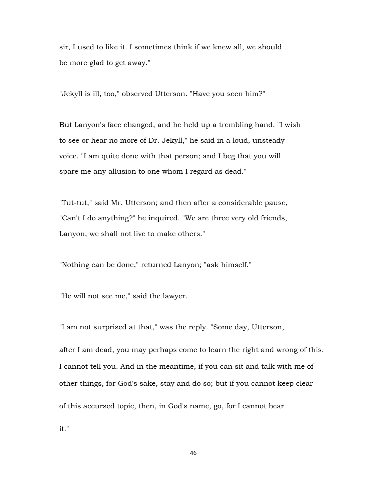sir, I used to like it. I sometimes think if we knew all, we should be more glad to get away."

"Jekyll is ill, too," observed Utterson. "Have you seen him?"

But Lanyon's face changed, and he held up a trembling hand. "I wish to see or hear no more of Dr. Jekyll," he said in a loud, unsteady voice. "I am quite done with that person; and I beg that you will spare me any allusion to one whom I regard as dead."

"Tut-tut," said Mr. Utterson; and then after a considerable pause, "Can't I do anything?" he inquired. "We are three very old friends, Lanyon; we shall not live to make others."

"Nothing can be done," returned Lanyon; "ask himself."

"He will not see me," said the lawyer.

"I am not surprised at that," was the reply. "Some day, Utterson,

after I am dead, you may perhaps come to learn the right and wrong of this. I cannot tell you. And in the meantime, if you can sit and talk with me of other things, for God's sake, stay and do so; but if you cannot keep clear of this accursed topic, then, in God's name, go, for I cannot bear

it."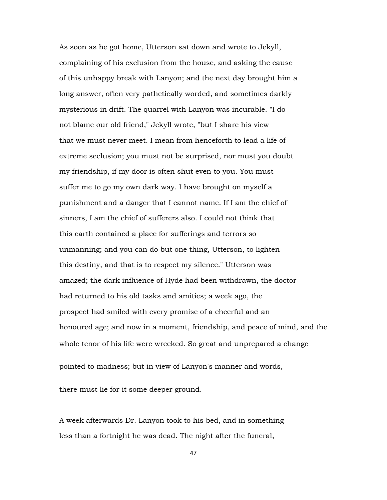As soon as he got home, Utterson sat down and wrote to Jekyll, complaining of his exclusion from the house, and asking the cause of this unhappy break with Lanyon; and the next day brought him a long answer, often very pathetically worded, and sometimes darkly mysterious in drift. The quarrel with Lanyon was incurable. "I do not blame our old friend," Jekyll wrote, "but I share his view that we must never meet. I mean from henceforth to lead a life of extreme seclusion; you must not be surprised, nor must you doubt my friendship, if my door is often shut even to you. You must suffer me to go my own dark way. I have brought on myself a punishment and a danger that I cannot name. If I am the chief of sinners, I am the chief of sufferers also. I could not think that this earth contained a place for sufferings and terrors so unmanning; and you can do but one thing, Utterson, to lighten this destiny, and that is to respect my silence." Utterson was amazed; the dark influence of Hyde had been withdrawn, the doctor had returned to his old tasks and amities; a week ago, the prospect had smiled with every promise of a cheerful and an honoured age; and now in a moment, friendship, and peace of mind, and the whole tenor of his life were wrecked. So great and unprepared a change

pointed to madness; but in view of Lanyon's manner and words,

there must lie for it some deeper ground.

A week afterwards Dr. Lanyon took to his bed, and in something less than a fortnight he was dead. The night after the funeral,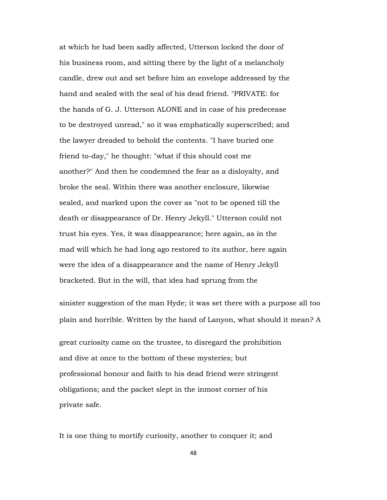at which he had been sadly affected, Utterson locked the door of his business room, and sitting there by the light of a melancholy candle, drew out and set before him an envelope addressed by the hand and sealed with the seal of his dead friend. "PRIVATE: for the hands of G. J. Utterson ALONE and in case of his predecease to be destroyed unread," so it was emphatically superscribed; and the lawyer dreaded to behold the contents. "I have buried one friend to-day," he thought: "what if this should cost me another?" And then he condemned the fear as a disloyalty, and broke the seal. Within there was another enclosure, likewise sealed, and marked upon the cover as "not to be opened till the death or disappearance of Dr. Henry Jekyll." Utterson could not trust his eyes. Yes, it was disappearance; here again, as in the mad will which he had long ago restored to its author, here again were the idea of a disappearance and the name of Henry Jekyll bracketed. But in the will, that idea had sprung from the

sinister suggestion of the man Hyde; it was set there with a purpose all too plain and horrible. Written by the hand of Lanyon, what should it mean? A

great curiosity came on the trustee, to disregard the prohibition and dive at once to the bottom of these mysteries; but professional honour and faith to his dead friend were stringent obligations; and the packet slept in the inmost corner of his private safe.

It is one thing to mortify curiosity, another to conquer it; and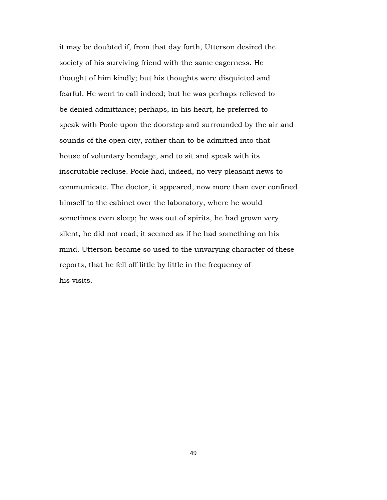it may be doubted if, from that day forth, Utterson desired the society of his surviving friend with the same eagerness. He thought of him kindly; but his thoughts were disquieted and fearful. He went to call indeed; but he was perhaps relieved to be denied admittance; perhaps, in his heart, he preferred to speak with Poole upon the doorstep and surrounded by the air and sounds of the open city, rather than to be admitted into that house of voluntary bondage, and to sit and speak with its inscrutable recluse. Poole had, indeed, no very pleasant news to communicate. The doctor, it appeared, now more than ever confined himself to the cabinet over the laboratory, where he would sometimes even sleep; he was out of spirits, he had grown very silent, he did not read; it seemed as if he had something on his mind. Utterson became so used to the unvarying character of these reports, that he fell off little by little in the frequency of his visits.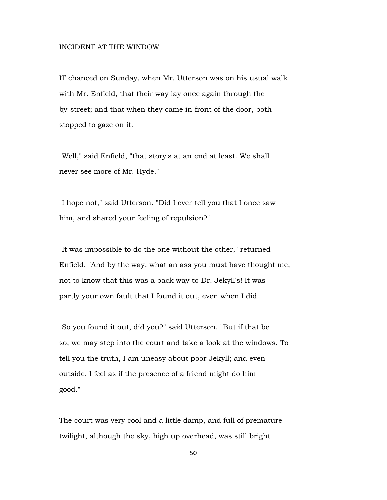## INCIDENT AT THE WINDOW

IT chanced on Sunday, when Mr. Utterson was on his usual walk with Mr. Enfield, that their way lay once again through the by-street; and that when they came in front of the door, both stopped to gaze on it.

"Well," said Enfield, "that story's at an end at least. We shall never see more of Mr. Hyde."

"I hope not," said Utterson. "Did I ever tell you that I once saw him, and shared your feeling of repulsion?"

"It was impossible to do the one without the other," returned Enfield. "And by the way, what an ass you must have thought me, not to know that this was a back way to Dr. Jekyll's! It was partly your own fault that I found it out, even when I did."

"So you found it out, did you?" said Utterson. "But if that be so, we may step into the court and take a look at the windows. To tell you the truth, I am uneasy about poor Jekyll; and even outside, I feel as if the presence of a friend might do him good."

The court was very cool and a little damp, and full of premature twilight, although the sky, high up overhead, was still bright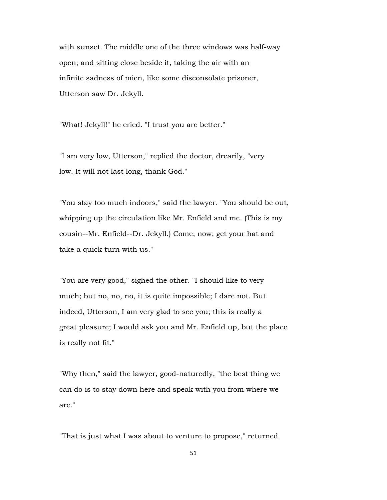with sunset. The middle one of the three windows was half-way open; and sitting close beside it, taking the air with an infinite sadness of mien, like some disconsolate prisoner, Utterson saw Dr. Jekyll.

"What! Jekyll!" he cried. "I trust you are better."

"I am very low, Utterson," replied the doctor, drearily, "very low. It will not last long, thank God."

"You stay too much indoors," said the lawyer. "You should be out, whipping up the circulation like Mr. Enfield and me. (This is my cousin--Mr. Enfield--Dr. Jekyll.) Come, now; get your hat and take a quick turn with us."

"You are very good," sighed the other. "I should like to very much; but no, no, no, it is quite impossible; I dare not. But indeed, Utterson, I am very glad to see you; this is really a great pleasure; I would ask you and Mr. Enfield up, but the place is really not fit."

"Why then," said the lawyer, good-naturedly, "the best thing we can do is to stay down here and speak with you from where we are."

"That is just what I was about to venture to propose," returned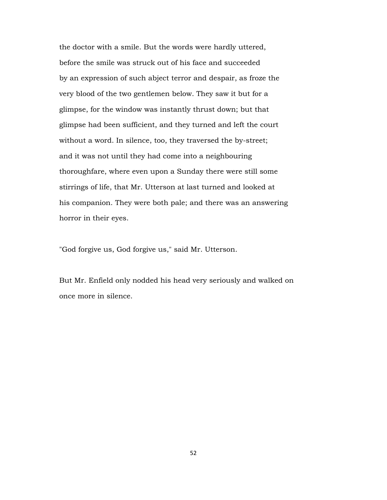the doctor with a smile. But the words were hardly uttered, before the smile was struck out of his face and succeeded by an expression of such abject terror and despair, as froze the very blood of the two gentlemen below. They saw it but for a glimpse, for the window was instantly thrust down; but that glimpse had been sufficient, and they turned and left the court without a word. In silence, too, they traversed the by-street; and it was not until they had come into a neighbouring thoroughfare, where even upon a Sunday there were still some stirrings of life, that Mr. Utterson at last turned and looked at his companion. They were both pale; and there was an answering horror in their eyes.

"God forgive us, God forgive us," said Mr. Utterson.

But Mr. Enfield only nodded his head very seriously and walked on once more in silence.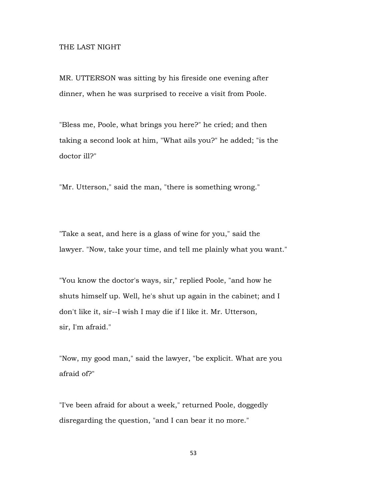## THE LAST NIGHT

MR. UTTERSON was sitting by his fireside one evening after dinner, when he was surprised to receive a visit from Poole.

"Bless me, Poole, what brings you here?" he cried; and then taking a second look at him, "What ails you?" he added; "is the doctor ill?"

"Mr. Utterson," said the man, "there is something wrong."

"Take a seat, and here is a glass of wine for you," said the lawyer. "Now, take your time, and tell me plainly what you want."

"You know the doctor's ways, sir," replied Poole, "and how he shuts himself up. Well, he's shut up again in the cabinet; and I don't like it, sir--I wish I may die if I like it. Mr. Utterson, sir, I'm afraid."

"Now, my good man," said the lawyer, "be explicit. What are you afraid of?"

"I've been afraid for about a week," returned Poole, doggedly disregarding the question, "and I can bear it no more."

53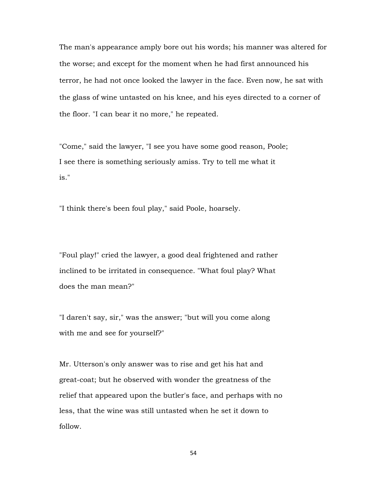The man's appearance amply bore out his words; his manner was altered for the worse; and except for the moment when he had first announced his terror, he had not once looked the lawyer in the face. Even now, he sat with the glass of wine untasted on his knee, and his eyes directed to a corner of the floor. "I can bear it no more," he repeated.

"Come," said the lawyer, "I see you have some good reason, Poole; I see there is something seriously amiss. Try to tell me what it is."

"I think there's been foul play," said Poole, hoarsely.

"Foul play!" cried the lawyer, a good deal frightened and rather inclined to be irritated in consequence. "What foul play? What does the man mean?"

"I daren't say, sir," was the answer; "but will you come along with me and see for yourself?"

Mr. Utterson's only answer was to rise and get his hat and great-coat; but he observed with wonder the greatness of the relief that appeared upon the butler's face, and perhaps with no less, that the wine was still untasted when he set it down to follow.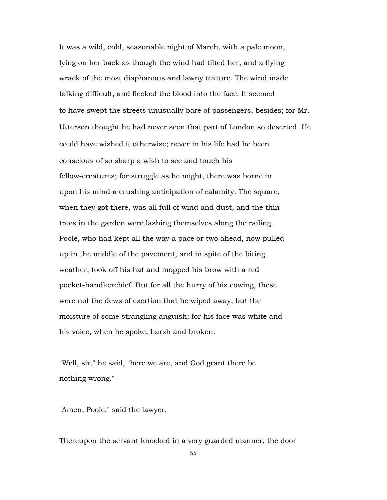It was a wild, cold, seasonable night of March, with a pale moon, lying on her back as though the wind had tilted her, and a flying wrack of the most diaphanous and lawny texture. The wind made talking difficult, and flecked the blood into the face. It seemed to have swept the streets unusually bare of passengers, besides; for Mr. Utterson thought he had never seen that part of London so deserted. He could have wished it otherwise; never in his life had he been conscious of so sharp a wish to see and touch his fellow-creatures; for struggle as he might, there was borne in upon his mind a crushing anticipation of calamity. The square, when they got there, was all full of wind and dust, and the thin trees in the garden were lashing themselves along the railing. Poole, who had kept all the way a pace or two ahead, now pulled up in the middle of the pavement, and in spite of the biting weather, took off his hat and mopped his brow with a red pocket-handkerchief. But for all the hurry of his cowing, these were not the dews of exertion that he wiped away, but the moisture of some strangling anguish; for his face was white and his voice, when he spoke, harsh and broken.

"Well, sir," he said, "here we are, and God grant there be nothing wrong."

"Amen, Poole," said the lawyer.

Thereupon the servant knocked in a very guarded manner; the door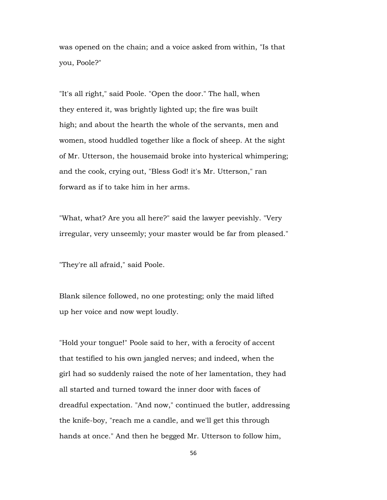was opened on the chain; and a voice asked from within, "Is that you, Poole?"

"It's all right," said Poole. "Open the door." The hall, when they entered it, was brightly lighted up; the fire was built high; and about the hearth the whole of the servants, men and women, stood huddled together like a flock of sheep. At the sight of Mr. Utterson, the housemaid broke into hysterical whimpering; and the cook, crying out, "Bless God! it's Mr. Utterson," ran forward as if to take him in her arms.

"What, what? Are you all here?" said the lawyer peevishly. "Very irregular, very unseemly; your master would be far from pleased."

"They're all afraid," said Poole.

Blank silence followed, no one protesting; only the maid lifted up her voice and now wept loudly.

"Hold your tongue!" Poole said to her, with a ferocity of accent that testified to his own jangled nerves; and indeed, when the girl had so suddenly raised the note of her lamentation, they had all started and turned toward the inner door with faces of dreadful expectation. "And now," continued the butler, addressing the knife-boy, "reach me a candle, and we'll get this through hands at once." And then he begged Mr. Utterson to follow him,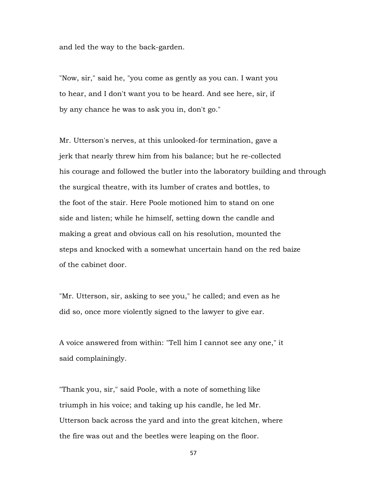and led the way to the back-garden.

"Now, sir," said he, "you come as gently as you can. I want you to hear, and I don't want you to be heard. And see here, sir, if by any chance he was to ask you in, don't go."

Mr. Utterson's nerves, at this unlooked-for termination, gave a jerk that nearly threw him from his balance; but he re-collected his courage and followed the butler into the laboratory building and through the surgical theatre, with its lumber of crates and bottles, to the foot of the stair. Here Poole motioned him to stand on one side and listen; while he himself, setting down the candle and making a great and obvious call on his resolution, mounted the steps and knocked with a somewhat uncertain hand on the red baize of the cabinet door.

"Mr. Utterson, sir, asking to see you," he called; and even as he did so, once more violently signed to the lawyer to give ear.

A voice answered from within: "Tell him I cannot see any one," it said complainingly.

"Thank you, sir," said Poole, with a note of something like triumph in his voice; and taking up his candle, he led Mr. Utterson back across the yard and into the great kitchen, where the fire was out and the beetles were leaping on the floor.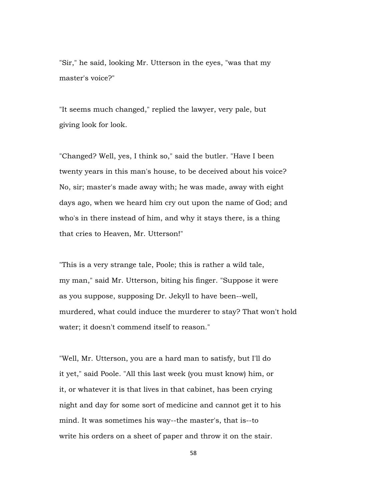"Sir," he said, looking Mr. Utterson in the eyes, "was that my master's voice?"

"It seems much changed," replied the lawyer, very pale, but giving look for look.

"Changed? Well, yes, I think so," said the butler. "Have I been twenty years in this man's house, to be deceived about his voice? No, sir; master's made away with; he was made, away with eight days ago, when we heard him cry out upon the name of God; and who's in there instead of him, and why it stays there, is a thing that cries to Heaven, Mr. Utterson!"

"This is a very strange tale, Poole; this is rather a wild tale, my man," said Mr. Utterson, biting his finger. "Suppose it were as you suppose, supposing Dr. Jekyll to have been--well, murdered, what could induce the murderer to stay? That won't hold water; it doesn't commend itself to reason."

"Well, Mr. Utterson, you are a hard man to satisfy, but I'll do it yet," said Poole. "All this last week (you must know) him, or it, or whatever it is that lives in that cabinet, has been crying night and day for some sort of medicine and cannot get it to his mind. It was sometimes his way--the master's, that is--to write his orders on a sheet of paper and throw it on the stair.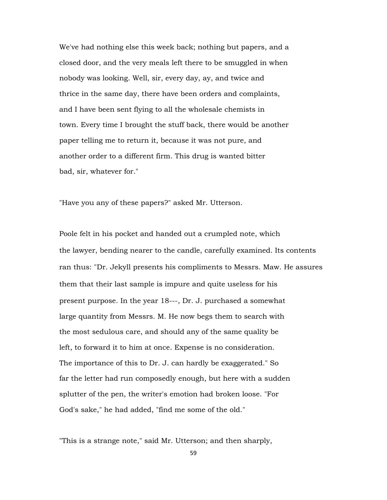We've had nothing else this week back; nothing but papers, and a closed door, and the very meals left there to be smuggled in when nobody was looking. Well, sir, every day, ay, and twice and thrice in the same day, there have been orders and complaints, and I have been sent flying to all the wholesale chemists in town. Every time I brought the stuff back, there would be another paper telling me to return it, because it was not pure, and another order to a different firm. This drug is wanted bitter bad, sir, whatever for."

"Have you any of these papers?" asked Mr. Utterson.

Poole felt in his pocket and handed out a crumpled note, which the lawyer, bending nearer to the candle, carefully examined. Its contents ran thus: "Dr. Jekyll presents his compliments to Messrs. Maw. He assures them that their last sample is impure and quite useless for his present purpose. In the year 18---, Dr. J. purchased a somewhat large quantity from Messrs. M. He now begs them to search with the most sedulous care, and should any of the same quality be left, to forward it to him at once. Expense is no consideration. The importance of this to Dr. J. can hardly be exaggerated." So far the letter had run composedly enough, but here with a sudden splutter of the pen, the writer's emotion had broken loose. "For God's sake," he had added, "find me some of the old."

"This is a strange note," said Mr. Utterson; and then sharply,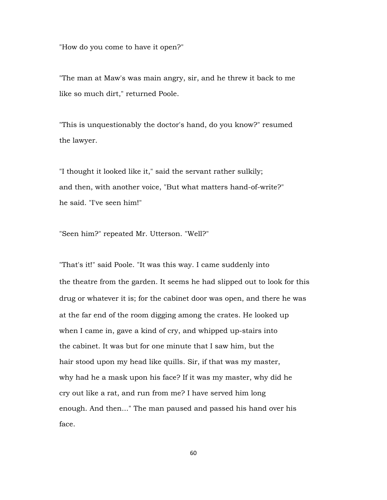"How do you come to have it open?"

"The man at Maw's was main angry, sir, and he threw it back to me like so much dirt," returned Poole.

"This is unquestionably the doctor's hand, do you know?" resumed the lawyer.

"I thought it looked like it," said the servant rather sulkily; and then, with another voice, "But what matters hand-of-write?" he said. "I've seen him!"

"Seen him?" repeated Mr. Utterson. "Well?"

"That's it!" said Poole. "It was this way. I came suddenly into the theatre from the garden. It seems he had slipped out to look for this drug or whatever it is; for the cabinet door was open, and there he was at the far end of the room digging among the crates. He looked up when I came in, gave a kind of cry, and whipped up-stairs into the cabinet. It was but for one minute that I saw him, but the hair stood upon my head like quills. Sir, if that was my master, why had he a mask upon his face? If it was my master, why did he cry out like a rat, and run from me? I have served him long enough. And then..." The man paused and passed his hand over his face.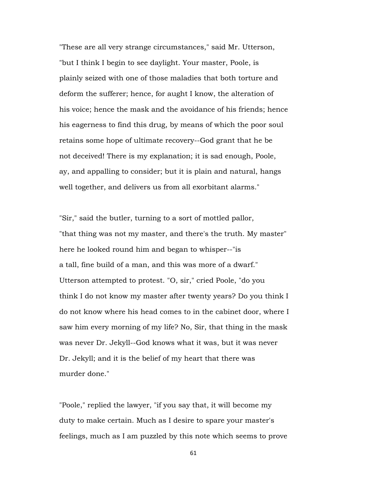"These are all very strange circumstances," said Mr. Utterson, "but I think I begin to see daylight. Your master, Poole, is plainly seized with one of those maladies that both torture and deform the sufferer; hence, for aught I know, the alteration of his voice; hence the mask and the avoidance of his friends; hence his eagerness to find this drug, by means of which the poor soul retains some hope of ultimate recovery--God grant that he be not deceived! There is my explanation; it is sad enough, Poole, ay, and appalling to consider; but it is plain and natural, hangs well together, and delivers us from all exorbitant alarms."

"Sir," said the butler, turning to a sort of mottled pallor, "that thing was not my master, and there's the truth. My master" here he looked round him and began to whisper--"is a tall, fine build of a man, and this was more of a dwarf." Utterson attempted to protest. "O, sir," cried Poole, "do you think I do not know my master after twenty years? Do you think I do not know where his head comes to in the cabinet door, where I saw him every morning of my life? No, Sir, that thing in the mask was never Dr. Jekyll--God knows what it was, but it was never Dr. Jekyll; and it is the belief of my heart that there was murder done."

"Poole," replied the lawyer, "if you say that, it will become my duty to make certain. Much as I desire to spare your master's feelings, much as I am puzzled by this note which seems to prove

61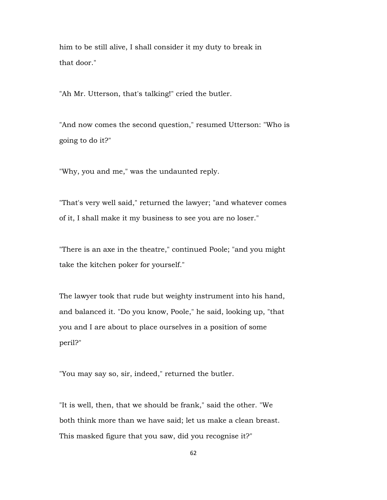him to be still alive, I shall consider it my duty to break in that door."

"Ah Mr. Utterson, that's talking!" cried the butler.

"And now comes the second question," resumed Utterson: "Who is going to do it?"

"Why, you and me," was the undaunted reply.

"That's very well said," returned the lawyer; "and whatever comes of it, I shall make it my business to see you are no loser."

"There is an axe in the theatre," continued Poole; "and you might take the kitchen poker for yourself."

The lawyer took that rude but weighty instrument into his hand, and balanced it. "Do you know, Poole," he said, looking up, "that you and I are about to place ourselves in a position of some peril?"

"You may say so, sir, indeed," returned the butler.

"It is well, then, that we should be frank," said the other. "We both think more than we have said; let us make a clean breast. This masked figure that you saw, did you recognise it?"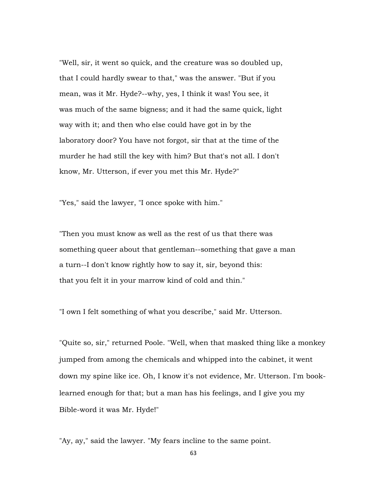"Well, sir, it went so quick, and the creature was so doubled up, that I could hardly swear to that," was the answer. "But if you mean, was it Mr. Hyde?--why, yes, I think it was! You see, it was much of the same bigness; and it had the same quick, light way with it; and then who else could have got in by the laboratory door? You have not forgot, sir that at the time of the murder he had still the key with him? But that's not all. I don't know, Mr. Utterson, if ever you met this Mr. Hyde?"

"Yes," said the lawyer, "I once spoke with him."

"Then you must know as well as the rest of us that there was something queer about that gentleman--something that gave a man a turn--I don't know rightly how to say it, sir, beyond this: that you felt it in your marrow kind of cold and thin."

"I own I felt something of what you describe," said Mr. Utterson.

"Quite so, sir," returned Poole. "Well, when that masked thing like a monkey jumped from among the chemicals and whipped into the cabinet, it went down my spine like ice. Oh, I know it's not evidence, Mr. Utterson. I'm booklearned enough for that; but a man has his feelings, and I give you my Bible-word it was Mr. Hyde!"

"Ay, ay," said the lawyer. "My fears incline to the same point.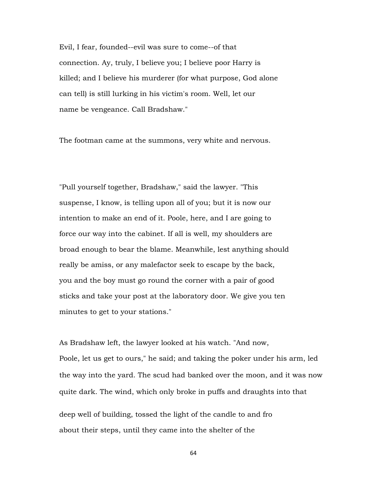Evil, I fear, founded--evil was sure to come--of that connection. Ay, truly, I believe you; I believe poor Harry is killed; and I believe his murderer (for what purpose, God alone can tell) is still lurking in his victim's room. Well, let our name be vengeance. Call Bradshaw."

The footman came at the summons, very white and nervous.

"Pull yourself together, Bradshaw," said the lawyer. "This suspense, I know, is telling upon all of you; but it is now our intention to make an end of it. Poole, here, and I are going to force our way into the cabinet. If all is well, my shoulders are broad enough to bear the blame. Meanwhile, lest anything should really be amiss, or any malefactor seek to escape by the back, you and the boy must go round the corner with a pair of good sticks and take your post at the laboratory door. We give you ten minutes to get to your stations."

As Bradshaw left, the lawyer looked at his watch. "And now, Poole, let us get to ours," he said; and taking the poker under his arm, led the way into the yard. The scud had banked over the moon, and it was now quite dark. The wind, which only broke in puffs and draughts into that deep well of building, tossed the light of the candle to and fro about their steps, until they came into the shelter of the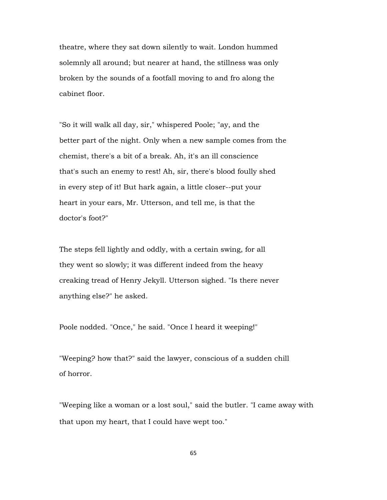theatre, where they sat down silently to wait. London hummed solemnly all around; but nearer at hand, the stillness was only broken by the sounds of a footfall moving to and fro along the cabinet floor.

"So it will walk all day, sir," whispered Poole; "ay, and the better part of the night. Only when a new sample comes from the chemist, there's a bit of a break. Ah, it's an ill conscience that's such an enemy to rest! Ah, sir, there's blood foully shed in every step of it! But hark again, a little closer--put your heart in your ears, Mr. Utterson, and tell me, is that the doctor's foot?"

The steps fell lightly and oddly, with a certain swing, for all they went so slowly; it was different indeed from the heavy creaking tread of Henry Jekyll. Utterson sighed. "Is there never anything else?" he asked.

Poole nodded. "Once," he said. "Once I heard it weeping!"

"Weeping? how that?" said the lawyer, conscious of a sudden chill of horror.

"Weeping like a woman or a lost soul," said the butler. "I came away with that upon my heart, that I could have wept too."

65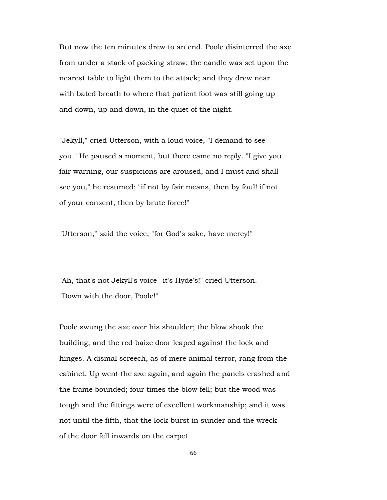But now the ten minutes drew to an end. Poole disinterred the axe from under a stack of packing straw; the candle was set upon the nearest table to light them to the attack; and they drew near with bated breath to where that patient foot was still going up and down, up and down, in the quiet of the night.

"Jekyll," cried Utterson, with a loud voice, "I demand to see you." He paused a moment, but there came no reply. "I give you fair warning, our suspicions are aroused, and I must and shall see you," he resumed; "if not by fair means, then by foul! if not of your consent, then by brute force!"

"Utterson," said the voice, "for God's sake, have mercy!"

"Ah, that's not Jekyll's voice--it's Hyde's!" cried Utterson. "Down with the door, Poole!"

Poole swung the axe over his shoulder; the blow shook the building, and the red baize door leaped against the lock and hinges. A dismal screech, as of mere animal terror, rang from the cabinet. Up went the axe again, and again the panels crashed and the frame bounded; four times the blow fell; but the wood was tough and the fittings were of excellent workmanship; and it was not until the fifth, that the lock burst in sunder and the wreck of the door fell inwards on the carpet.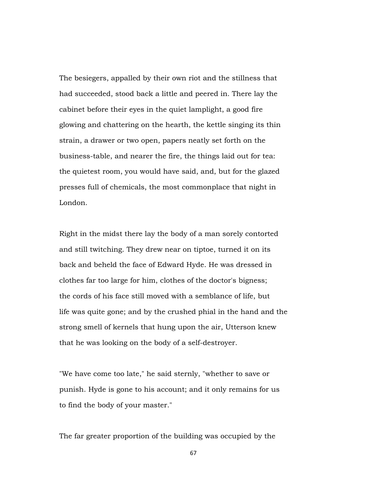The besiegers, appalled by their own riot and the stillness that had succeeded, stood back a little and peered in. There lay the cabinet before their eyes in the quiet lamplight, a good fire glowing and chattering on the hearth, the kettle singing its thin strain, a drawer or two open, papers neatly set forth on the business-table, and nearer the fire, the things laid out for tea: the quietest room, you would have said, and, but for the glazed presses full of chemicals, the most commonplace that night in London.

Right in the midst there lay the body of a man sorely contorted and still twitching. They drew near on tiptoe, turned it on its back and beheld the face of Edward Hyde. He was dressed in clothes far too large for him, clothes of the doctor's bigness; the cords of his face still moved with a semblance of life, but life was quite gone; and by the crushed phial in the hand and the strong smell of kernels that hung upon the air, Utterson knew that he was looking on the body of a self-destroyer.

"We have come too late," he said sternly, "whether to save or punish. Hyde is gone to his account; and it only remains for us to find the body of your master."

The far greater proportion of the building was occupied by the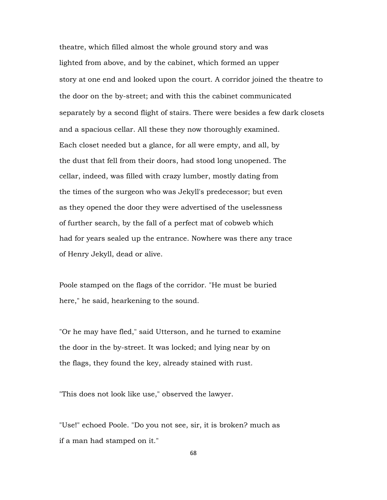theatre, which filled almost the whole ground story and was lighted from above, and by the cabinet, which formed an upper story at one end and looked upon the court. A corridor joined the theatre to the door on the by-street; and with this the cabinet communicated separately by a second flight of stairs. There were besides a few dark closets and a spacious cellar. All these they now thoroughly examined. Each closet needed but a glance, for all were empty, and all, by the dust that fell from their doors, had stood long unopened. The cellar, indeed, was filled with crazy lumber, mostly dating from the times of the surgeon who was Jekyll's predecessor; but even as they opened the door they were advertised of the uselessness of further search, by the fall of a perfect mat of cobweb which had for years sealed up the entrance. Nowhere was there any trace of Henry Jekyll, dead or alive.

Poole stamped on the flags of the corridor. "He must be buried here," he said, hearkening to the sound.

"Or he may have fled," said Utterson, and he turned to examine the door in the by-street. It was locked; and lying near by on the flags, they found the key, already stained with rust.

"This does not look like use," observed the lawyer.

"Use!" echoed Poole. "Do you not see, sir, it is broken? much as if a man had stamped on it."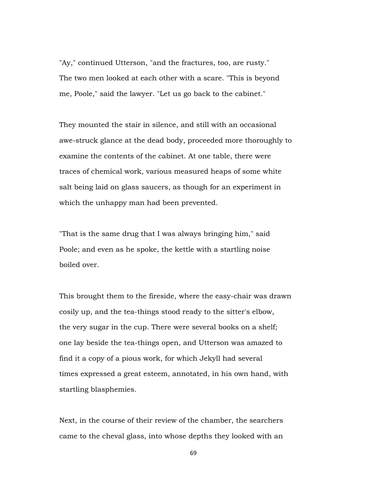"Ay," continued Utterson, "and the fractures, too, are rusty." The two men looked at each other with a scare. "This is beyond me, Poole," said the lawyer. "Let us go back to the cabinet."

They mounted the stair in silence, and still with an occasional awe-struck glance at the dead body, proceeded more thoroughly to examine the contents of the cabinet. At one table, there were traces of chemical work, various measured heaps of some white salt being laid on glass saucers, as though for an experiment in which the unhappy man had been prevented.

"That is the same drug that I was always bringing him," said Poole; and even as he spoke, the kettle with a startling noise boiled over.

This brought them to the fireside, where the easy-chair was drawn cosily up, and the tea-things stood ready to the sitter's elbow, the very sugar in the cup. There were several books on a shelf; one lay beside the tea-things open, and Utterson was amazed to find it a copy of a pious work, for which Jekyll had several times expressed a great esteem, annotated, in his own hand, with startling blasphemies.

Next, in the course of their review of the chamber, the searchers came to the cheval glass, into whose depths they looked with an

69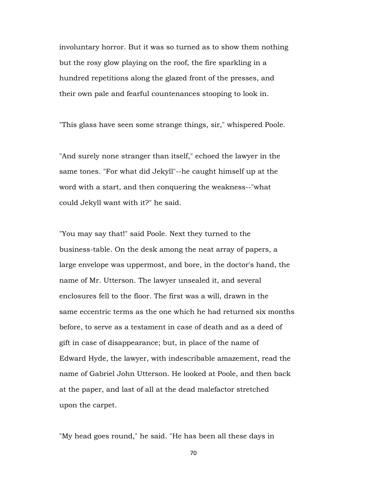involuntary horror. But it was so turned as to show them nothing but the rosy glow playing on the roof, the fire sparkling in a hundred repetitions along the glazed front of the presses, and their own pale and fearful countenances stooping to look in.

"This glass have seen some strange things, sir," whispered Poole.

"And surely none stranger than itself," echoed the lawyer in the same tones. "For what did Jekyll"--he caught himself up at the word with a start, and then conquering the weakness--"what could Jekyll want with it?" he said.

"You may say that!" said Poole. Next they turned to the business-table. On the desk among the neat array of papers, a large envelope was uppermost, and bore, in the doctor's hand, the name of Mr. Utterson. The lawyer unsealed it, and several enclosures fell to the floor. The first was a will, drawn in the same eccentric terms as the one which he had returned six months before, to serve as a testament in case of death and as a deed of gift in case of disappearance; but, in place of the name of Edward Hyde, the lawyer, with indescribable amazement, read the name of Gabriel John Utterson. He looked at Poole, and then back at the paper, and last of all at the dead malefactor stretched upon the carpet.

"My head goes round," he said. "He has been all these days in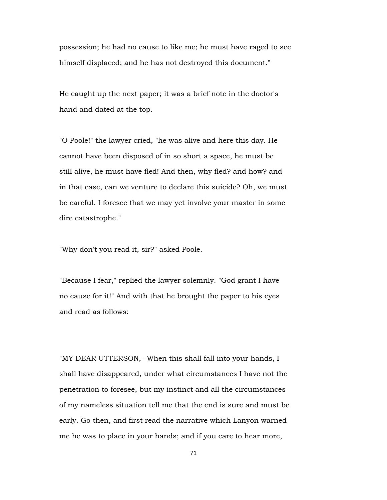possession; he had no cause to like me; he must have raged to see himself displaced; and he has not destroyed this document."

He caught up the next paper; it was a brief note in the doctor's hand and dated at the top.

"O Poole!" the lawyer cried, "he was alive and here this day. He cannot have been disposed of in so short a space, he must be still alive, he must have fled! And then, why fled? and how? and in that case, can we venture to declare this suicide? Oh, we must be careful. I foresee that we may yet involve your master in some dire catastrophe."

"Why don't you read it, sir?" asked Poole.

"Because I fear," replied the lawyer solemnly. "God grant I have no cause for it!" And with that he brought the paper to his eyes and read as follows:

"MY DEAR UTTERSON,--When this shall fall into your hands, I shall have disappeared, under what circumstances I have not the penetration to foresee, but my instinct and all the circumstances of my nameless situation tell me that the end is sure and must be early. Go then, and first read the narrative which Lanyon warned me he was to place in your hands; and if you care to hear more,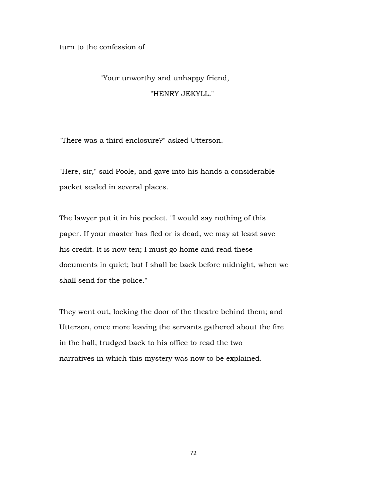turn to the confession of

## "Your unworthy and unhappy friend, "HENRY JEKYLL."

"There was a third enclosure?" asked Utterson.

"Here, sir," said Poole, and gave into his hands a considerable packet sealed in several places.

The lawyer put it in his pocket. "I would say nothing of this paper. If your master has fled or is dead, we may at least save his credit. It is now ten; I must go home and read these documents in quiet; but I shall be back before midnight, when we shall send for the police."

They went out, locking the door of the theatre behind them; and Utterson, once more leaving the servants gathered about the fire in the hall, trudged back to his office to read the two narratives in which this mystery was now to be explained.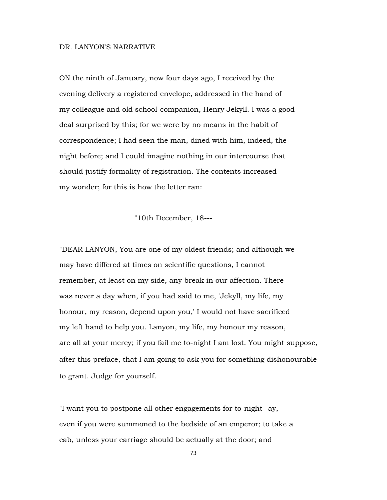## DR. LANYON'S NARRATIVE

ON the ninth of January, now four days ago, I received by the evening delivery a registered envelope, addressed in the hand of my colleague and old school-companion, Henry Jekyll. I was a good deal surprised by this; for we were by no means in the habit of correspondence; I had seen the man, dined with him, indeed, the night before; and I could imagine nothing in our intercourse that should justify formality of registration. The contents increased my wonder; for this is how the letter ran:

"10th December, 18---

"DEAR LANYON, You are one of my oldest friends; and although we may have differed at times on scientific questions, I cannot remember, at least on my side, any break in our affection. There was never a day when, if you had said to me, 'Jekyll, my life, my honour, my reason, depend upon you,' I would not have sacrificed my left hand to help you. Lanyon, my life, my honour my reason, are all at your mercy; if you fail me to-night I am lost. You might suppose, after this preface, that I am going to ask you for something dishonourable to grant. Judge for yourself.

"I want you to postpone all other engagements for to-night--ay, even if you were summoned to the bedside of an emperor; to take a cab, unless your carriage should be actually at the door; and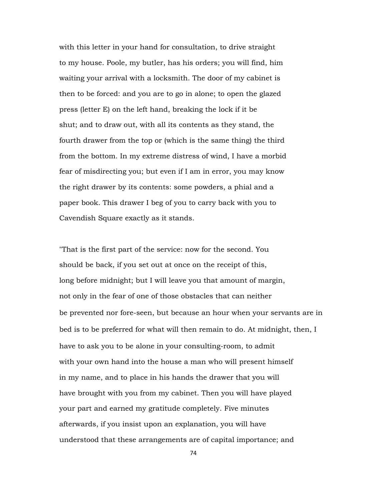with this letter in your hand for consultation, to drive straight to my house. Poole, my butler, has his orders; you will find, him waiting your arrival with a locksmith. The door of my cabinet is then to be forced: and you are to go in alone; to open the glazed press (letter E) on the left hand, breaking the lock if it be shut; and to draw out, with all its contents as they stand, the fourth drawer from the top or (which is the same thing) the third from the bottom. In my extreme distress of wind, I have a morbid fear of misdirecting you; but even if I am in error, you may know the right drawer by its contents: some powders, a phial and a paper book. This drawer I beg of you to carry back with you to Cavendish Square exactly as it stands.

"That is the first part of the service: now for the second. You should be back, if you set out at once on the receipt of this, long before midnight; but I will leave you that amount of margin, not only in the fear of one of those obstacles that can neither be prevented nor fore-seen, but because an hour when your servants are in bed is to be preferred for what will then remain to do. At midnight, then, I have to ask you to be alone in your consulting-room, to admit with your own hand into the house a man who will present himself in my name, and to place in his hands the drawer that you will have brought with you from my cabinet. Then you will have played your part and earned my gratitude completely. Five minutes afterwards, if you insist upon an explanation, you will have understood that these arrangements are of capital importance; and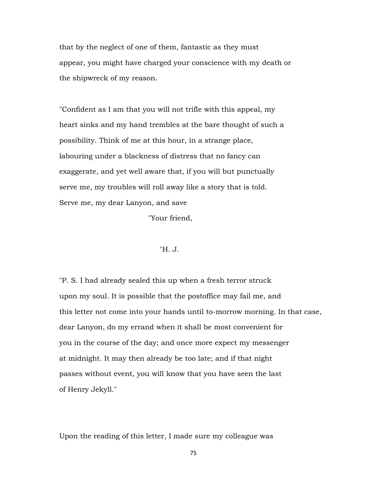that by the neglect of one of them, fantastic as they must appear, you might have charged your conscience with my death or the shipwreck of my reason.

"Confident as I am that you will not trifle with this appeal, my heart sinks and my hand trembles at the bare thought of such a possibility. Think of me at this hour, in a strange place, labouring under a blackness of distress that no fancy can exaggerate, and yet well aware that, if you will but punctually serve me, my troubles will roll away like a story that is told. Serve me, my dear Lanyon, and save

"Your friend,

## "H. J.

"P. S. I had already sealed this up when a fresh terror struck upon my soul. It is possible that the postoffice may fail me, and this letter not come into your hands until to-morrow morning. In that case, dear Lanyon, do my errand when it shall be most convenient for you in the course of the day; and once more expect my messenger at midnight. It may then already be too late; and if that night passes without event, you will know that you have seen the last of Henry Jekyll."

Upon the reading of this letter, I made sure my colleague was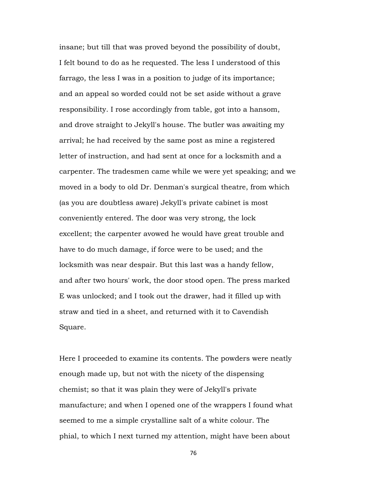insane; but till that was proved beyond the possibility of doubt, I felt bound to do as he requested. The less I understood of this farrago, the less I was in a position to judge of its importance; and an appeal so worded could not be set aside without a grave responsibility. I rose accordingly from table, got into a hansom, and drove straight to Jekyll's house. The butler was awaiting my arrival; he had received by the same post as mine a registered letter of instruction, and had sent at once for a locksmith and a carpenter. The tradesmen came while we were yet speaking; and we moved in a body to old Dr. Denman's surgical theatre, from which (as you are doubtless aware) Jekyll's private cabinet is most conveniently entered. The door was very strong, the lock excellent; the carpenter avowed he would have great trouble and have to do much damage, if force were to be used; and the locksmith was near despair. But this last was a handy fellow, and after two hours' work, the door stood open. The press marked E was unlocked; and I took out the drawer, had it filled up with straw and tied in a sheet, and returned with it to Cavendish Square.

Here I proceeded to examine its contents. The powders were neatly enough made up, but not with the nicety of the dispensing chemist; so that it was plain they were of Jekyll's private manufacture; and when I opened one of the wrappers I found what seemed to me a simple crystalline salt of a white colour. The phial, to which I next turned my attention, might have been about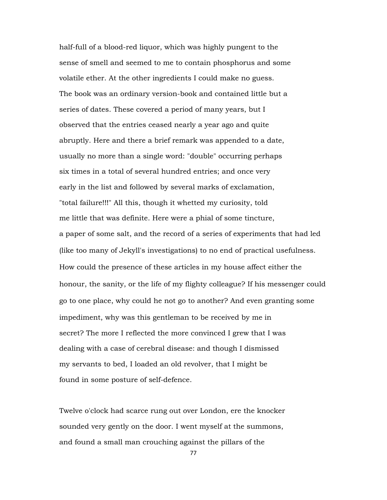half-full of a blood-red liquor, which was highly pungent to the sense of smell and seemed to me to contain phosphorus and some volatile ether. At the other ingredients I could make no guess. The book was an ordinary version-book and contained little but a series of dates. These covered a period of many years, but I observed that the entries ceased nearly a year ago and quite abruptly. Here and there a brief remark was appended to a date, usually no more than a single word: "double" occurring perhaps six times in a total of several hundred entries; and once very early in the list and followed by several marks of exclamation, "total failure!!!" All this, though it whetted my curiosity, told me little that was definite. Here were a phial of some tincture, a paper of some salt, and the record of a series of experiments that had led (like too many of Jekyll's investigations) to no end of practical usefulness. How could the presence of these articles in my house affect either the honour, the sanity, or the life of my flighty colleague? If his messenger could go to one place, why could he not go to another? And even granting some impediment, why was this gentleman to be received by me in secret? The more I reflected the more convinced I grew that I was dealing with a case of cerebral disease: and though I dismissed my servants to bed, I loaded an old revolver, that I might be found in some posture of self-defence.

Twelve o'clock had scarce rung out over London, ere the knocker sounded very gently on the door. I went myself at the summons, and found a small man crouching against the pillars of the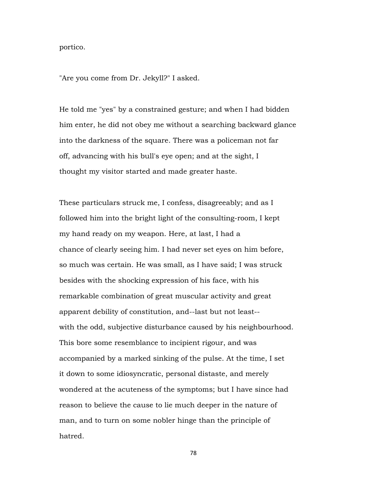portico.

"Are you come from Dr. Jekyll?" I asked.

He told me "yes" by a constrained gesture; and when I had bidden him enter, he did not obey me without a searching backward glance into the darkness of the square. There was a policeman not far off, advancing with his bull's eye open; and at the sight, I thought my visitor started and made greater haste.

These particulars struck me, I confess, disagreeably; and as I followed him into the bright light of the consulting-room, I kept my hand ready on my weapon. Here, at last, I had a chance of clearly seeing him. I had never set eyes on him before, so much was certain. He was small, as I have said; I was struck besides with the shocking expression of his face, with his remarkable combination of great muscular activity and great apparent debility of constitution, and--last but not least- with the odd, subjective disturbance caused by his neighbourhood. This bore some resemblance to incipient rigour, and was accompanied by a marked sinking of the pulse. At the time, I set it down to some idiosyncratic, personal distaste, and merely wondered at the acuteness of the symptoms; but I have since had reason to believe the cause to lie much deeper in the nature of man, and to turn on some nobler hinge than the principle of hatred.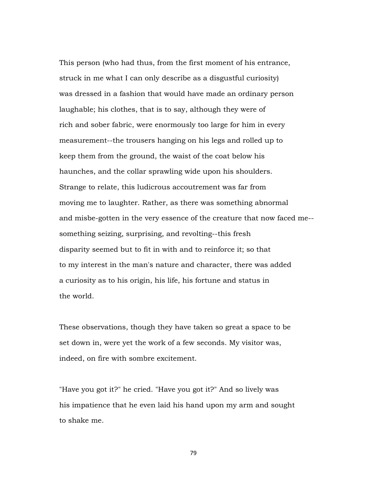This person (who had thus, from the first moment of his entrance, struck in me what I can only describe as a disgustful curiosity) was dressed in a fashion that would have made an ordinary person laughable; his clothes, that is to say, although they were of rich and sober fabric, were enormously too large for him in every measurement--the trousers hanging on his legs and rolled up to keep them from the ground, the waist of the coat below his haunches, and the collar sprawling wide upon his shoulders. Strange to relate, this ludicrous accoutrement was far from moving me to laughter. Rather, as there was something abnormal and misbe-gotten in the very essence of the creature that now faced me- something seizing, surprising, and revolting--this fresh disparity seemed but to fit in with and to reinforce it; so that to my interest in the man's nature and character, there was added a curiosity as to his origin, his life, his fortune and status in the world.

These observations, though they have taken so great a space to be set down in, were yet the work of a few seconds. My visitor was, indeed, on fire with sombre excitement.

"Have you got it?" he cried. "Have you got it?" And so lively was his impatience that he even laid his hand upon my arm and sought to shake me.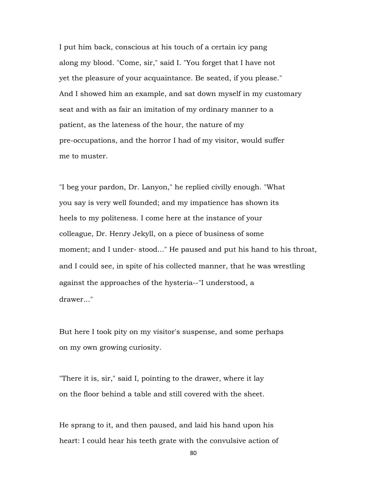I put him back, conscious at his touch of a certain icy pang along my blood. "Come, sir," said I. "You forget that I have not yet the pleasure of your acquaintance. Be seated, if you please." And I showed him an example, and sat down myself in my customary seat and with as fair an imitation of my ordinary manner to a patient, as the lateness of the hour, the nature of my pre-occupations, and the horror I had of my visitor, would suffer me to muster.

"I beg your pardon, Dr. Lanyon," he replied civilly enough. "What you say is very well founded; and my impatience has shown its heels to my politeness. I come here at the instance of your colleague, Dr. Henry Jekyll, on a piece of business of some moment; and I under- stood..." He paused and put his hand to his throat, and I could see, in spite of his collected manner, that he was wrestling against the approaches of the hysteria--"I understood, a drawer..."

But here I took pity on my visitor's suspense, and some perhaps on my own growing curiosity.

"There it is, sir," said I, pointing to the drawer, where it lay on the floor behind a table and still covered with the sheet.

He sprang to it, and then paused, and laid his hand upon his heart: I could hear his teeth grate with the convulsive action of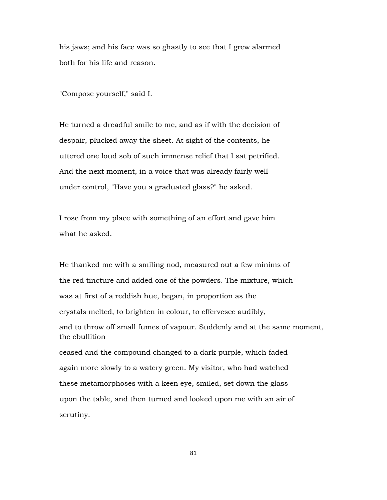his jaws; and his face was so ghastly to see that I grew alarmed both for his life and reason.

"Compose yourself," said I.

He turned a dreadful smile to me, and as if with the decision of despair, plucked away the sheet. At sight of the contents, he uttered one loud sob of such immense relief that I sat petrified. And the next moment, in a voice that was already fairly well under control, "Have you a graduated glass?" he asked.

I rose from my place with something of an effort and gave him what he asked.

He thanked me with a smiling nod, measured out a few minims of the red tincture and added one of the powders. The mixture, which was at first of a reddish hue, began, in proportion as the crystals melted, to brighten in colour, to effervesce audibly, and to throw off small fumes of vapour. Suddenly and at the same moment, the ebullition ceased and the compound changed to a dark purple, which faded again more slowly to a watery green. My visitor, who had watched these metamorphoses with a keen eye, smiled, set down the glass upon the table, and then turned and looked upon me with an air of scrutiny.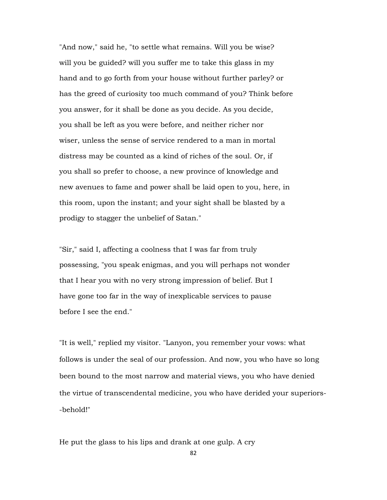"And now," said he, "to settle what remains. Will you be wise? will you be guided? will you suffer me to take this glass in my hand and to go forth from your house without further parley? or has the greed of curiosity too much command of you? Think before you answer, for it shall be done as you decide. As you decide, you shall be left as you were before, and neither richer nor wiser, unless the sense of service rendered to a man in mortal distress may be counted as a kind of riches of the soul. Or, if you shall so prefer to choose, a new province of knowledge and new avenues to fame and power shall be laid open to you, here, in this room, upon the instant; and your sight shall be blasted by a prodigy to stagger the unbelief of Satan."

"Sir," said I, affecting a coolness that I was far from truly possessing, "you speak enigmas, and you will perhaps not wonder that I hear you with no very strong impression of belief. But I have gone too far in the way of inexplicable services to pause before I see the end."

"It is well," replied my visitor. "Lanyon, you remember your vows: what follows is under the seal of our profession. And now, you who have so long been bound to the most narrow and material views, you who have denied the virtue of transcendental medicine, you who have derided your superiors- -behold!"

He put the glass to his lips and drank at one gulp. A cry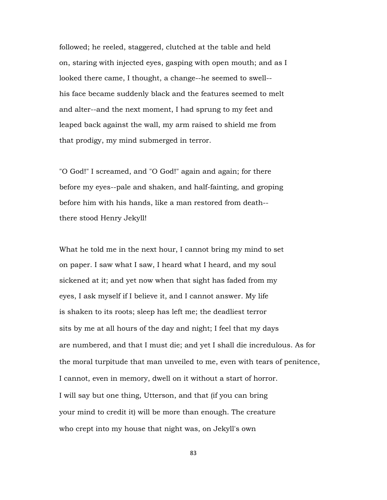followed; he reeled, staggered, clutched at the table and held on, staring with injected eyes, gasping with open mouth; and as I looked there came, I thought, a change--he seemed to swell- his face became suddenly black and the features seemed to melt and alter--and the next moment, I had sprung to my feet and leaped back against the wall, my arm raised to shield me from that prodigy, my mind submerged in terror.

"O God!" I screamed, and "O God!" again and again; for there before my eyes--pale and shaken, and half-fainting, and groping before him with his hands, like a man restored from death- there stood Henry Jekyll!

What he told me in the next hour, I cannot bring my mind to set on paper. I saw what I saw, I heard what I heard, and my soul sickened at it; and yet now when that sight has faded from my eyes, I ask myself if I believe it, and I cannot answer. My life is shaken to its roots; sleep has left me; the deadliest terror sits by me at all hours of the day and night; I feel that my days are numbered, and that I must die; and yet I shall die incredulous. As for the moral turpitude that man unveiled to me, even with tears of penitence, I cannot, even in memory, dwell on it without a start of horror. I will say but one thing, Utterson, and that (if you can bring your mind to credit it) will be more than enough. The creature who crept into my house that night was, on Jekyll's own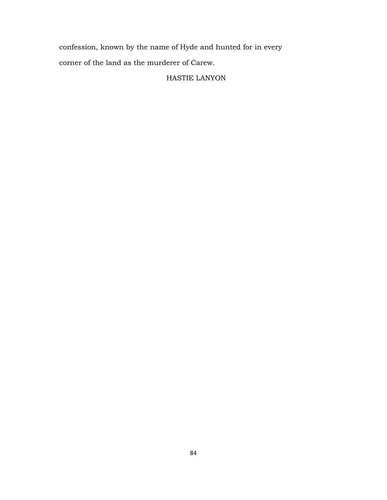confession, known by the name of Hyde and hunted for in every corner of the land as the murderer of Carew.

## HASTIE LANYON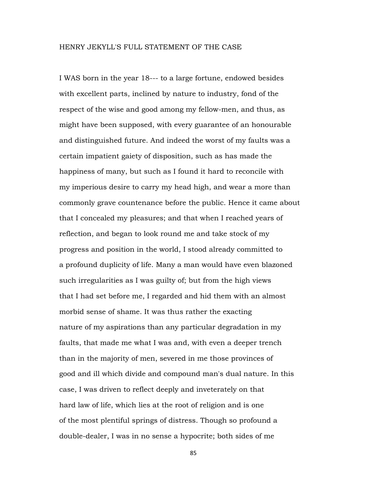I WAS born in the year 18--- to a large fortune, endowed besides with excellent parts, inclined by nature to industry, fond of the respect of the wise and good among my fellow-men, and thus, as might have been supposed, with every guarantee of an honourable and distinguished future. And indeed the worst of my faults was a certain impatient gaiety of disposition, such as has made the happiness of many, but such as I found it hard to reconcile with my imperious desire to carry my head high, and wear a more than commonly grave countenance before the public. Hence it came about that I concealed my pleasures; and that when I reached years of reflection, and began to look round me and take stock of my progress and position in the world, I stood already committed to a profound duplicity of life. Many a man would have even blazoned such irregularities as I was guilty of; but from the high views that I had set before me, I regarded and hid them with an almost morbid sense of shame. It was thus rather the exacting nature of my aspirations than any particular degradation in my faults, that made me what I was and, with even a deeper trench than in the majority of men, severed in me those provinces of good and ill which divide and compound man's dual nature. In this case, I was driven to reflect deeply and inveterately on that hard law of life, which lies at the root of religion and is one of the most plentiful springs of distress. Though so profound a double-dealer, I was in no sense a hypocrite; both sides of me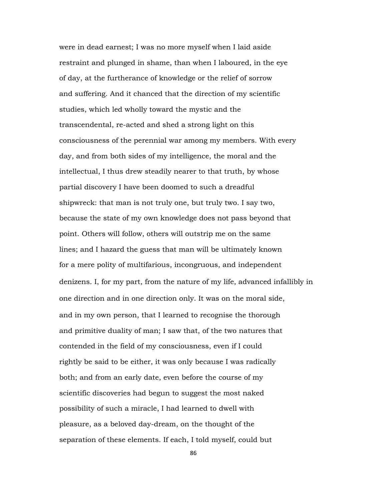were in dead earnest; I was no more myself when I laid aside restraint and plunged in shame, than when I laboured, in the eye of day, at the furtherance of knowledge or the relief of sorrow and suffering. And it chanced that the direction of my scientific studies, which led wholly toward the mystic and the transcendental, re-acted and shed a strong light on this consciousness of the perennial war among my members. With every day, and from both sides of my intelligence, the moral and the intellectual, I thus drew steadily nearer to that truth, by whose partial discovery I have been doomed to such a dreadful shipwreck: that man is not truly one, but truly two. I say two, because the state of my own knowledge does not pass beyond that point. Others will follow, others will outstrip me on the same lines; and I hazard the guess that man will be ultimately known for a mere polity of multifarious, incongruous, and independent denizens. I, for my part, from the nature of my life, advanced infallibly in one direction and in one direction only. It was on the moral side, and in my own person, that I learned to recognise the thorough and primitive duality of man; I saw that, of the two natures that contended in the field of my consciousness, even if I could rightly be said to be either, it was only because I was radically both; and from an early date, even before the course of my scientific discoveries had begun to suggest the most naked possibility of such a miracle, I had learned to dwell with pleasure, as a beloved day-dream, on the thought of the separation of these elements. If each, I told myself, could but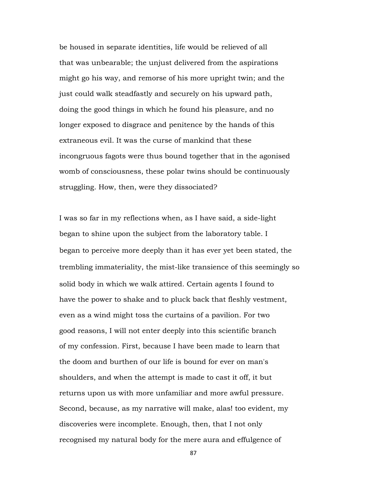be housed in separate identities, life would be relieved of all that was unbearable; the unjust delivered from the aspirations might go his way, and remorse of his more upright twin; and the just could walk steadfastly and securely on his upward path, doing the good things in which he found his pleasure, and no longer exposed to disgrace and penitence by the hands of this extraneous evil. It was the curse of mankind that these incongruous fagots were thus bound together that in the agonised womb of consciousness, these polar twins should be continuously struggling. How, then, were they dissociated?

I was so far in my reflections when, as I have said, a side-light began to shine upon the subject from the laboratory table. I began to perceive more deeply than it has ever yet been stated, the trembling immateriality, the mist-like transience of this seemingly so solid body in which we walk attired. Certain agents I found to have the power to shake and to pluck back that fleshly vestment, even as a wind might toss the curtains of a pavilion. For two good reasons, I will not enter deeply into this scientific branch of my confession. First, because I have been made to learn that the doom and burthen of our life is bound for ever on man's shoulders, and when the attempt is made to cast it off, it but returns upon us with more unfamiliar and more awful pressure. Second, because, as my narrative will make, alas! too evident, my discoveries were incomplete. Enough, then, that I not only recognised my natural body for the mere aura and effulgence of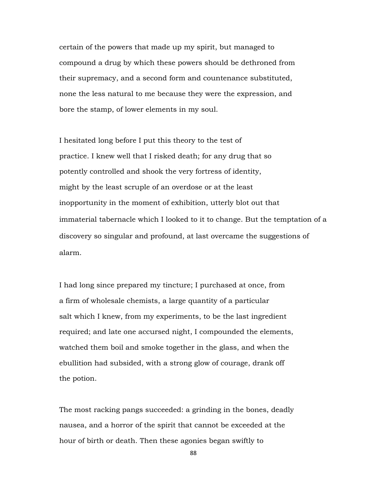certain of the powers that made up my spirit, but managed to compound a drug by which these powers should be dethroned from their supremacy, and a second form and countenance substituted, none the less natural to me because they were the expression, and bore the stamp, of lower elements in my soul.

I hesitated long before I put this theory to the test of practice. I knew well that I risked death; for any drug that so potently controlled and shook the very fortress of identity, might by the least scruple of an overdose or at the least inopportunity in the moment of exhibition, utterly blot out that immaterial tabernacle which I looked to it to change. But the temptation of a discovery so singular and profound, at last overcame the suggestions of alarm.

I had long since prepared my tincture; I purchased at once, from a firm of wholesale chemists, a large quantity of a particular salt which I knew, from my experiments, to be the last ingredient required; and late one accursed night, I compounded the elements, watched them boil and smoke together in the glass, and when the ebullition had subsided, with a strong glow of courage, drank off the potion.

The most racking pangs succeeded: a grinding in the bones, deadly nausea, and a horror of the spirit that cannot be exceeded at the hour of birth or death. Then these agonies began swiftly to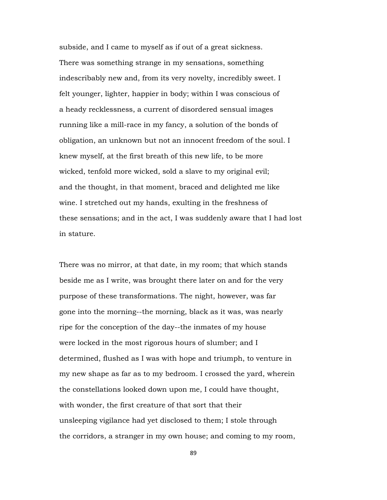subside, and I came to myself as if out of a great sickness. There was something strange in my sensations, something indescribably new and, from its very novelty, incredibly sweet. I felt younger, lighter, happier in body; within I was conscious of a heady recklessness, a current of disordered sensual images running like a mill-race in my fancy, a solution of the bonds of obligation, an unknown but not an innocent freedom of the soul. I knew myself, at the first breath of this new life, to be more wicked, tenfold more wicked, sold a slave to my original evil; and the thought, in that moment, braced and delighted me like wine. I stretched out my hands, exulting in the freshness of these sensations; and in the act, I was suddenly aware that I had lost in stature.

There was no mirror, at that date, in my room; that which stands beside me as I write, was brought there later on and for the very purpose of these transformations. The night, however, was far gone into the morning--the morning, black as it was, was nearly ripe for the conception of the day--the inmates of my house were locked in the most rigorous hours of slumber; and I determined, flushed as I was with hope and triumph, to venture in my new shape as far as to my bedroom. I crossed the yard, wherein the constellations looked down upon me, I could have thought, with wonder, the first creature of that sort that their unsleeping vigilance had yet disclosed to them; I stole through the corridors, a stranger in my own house; and coming to my room,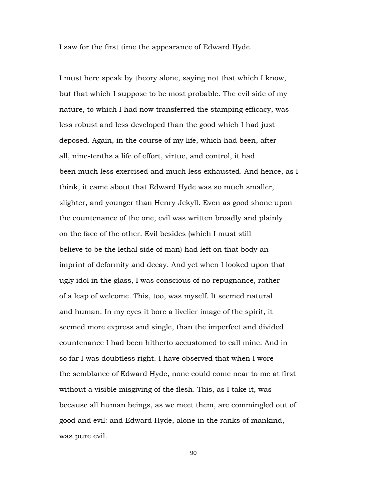I saw for the first time the appearance of Edward Hyde.

I must here speak by theory alone, saying not that which I know, but that which I suppose to be most probable. The evil side of my nature, to which I had now transferred the stamping efficacy, was less robust and less developed than the good which I had just deposed. Again, in the course of my life, which had been, after all, nine-tenths a life of effort, virtue, and control, it had been much less exercised and much less exhausted. And hence, as I think, it came about that Edward Hyde was so much smaller, slighter, and younger than Henry Jekyll. Even as good shone upon the countenance of the one, evil was written broadly and plainly on the face of the other. Evil besides (which I must still believe to be the lethal side of man) had left on that body an imprint of deformity and decay. And yet when I looked upon that ugly idol in the glass, I was conscious of no repugnance, rather of a leap of welcome. This, too, was myself. It seemed natural and human. In my eyes it bore a livelier image of the spirit, it seemed more express and single, than the imperfect and divided countenance I had been hitherto accustomed to call mine. And in so far I was doubtless right. I have observed that when I wore the semblance of Edward Hyde, none could come near to me at first without a visible misgiving of the flesh. This, as I take it, was because all human beings, as we meet them, are commingled out of good and evil: and Edward Hyde, alone in the ranks of mankind, was pure evil.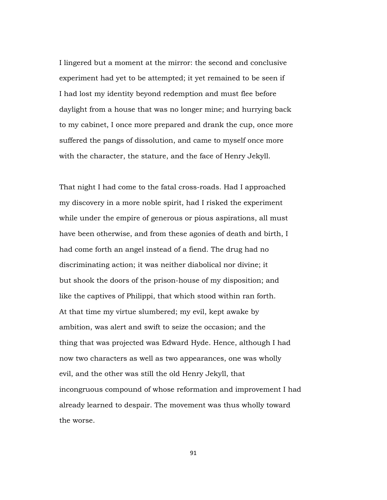I lingered but a moment at the mirror: the second and conclusive experiment had yet to be attempted; it yet remained to be seen if I had lost my identity beyond redemption and must flee before daylight from a house that was no longer mine; and hurrying back to my cabinet, I once more prepared and drank the cup, once more suffered the pangs of dissolution, and came to myself once more with the character, the stature, and the face of Henry Jekyll.

That night I had come to the fatal cross-roads. Had I approached my discovery in a more noble spirit, had I risked the experiment while under the empire of generous or pious aspirations, all must have been otherwise, and from these agonies of death and birth, I had come forth an angel instead of a fiend. The drug had no discriminating action; it was neither diabolical nor divine; it but shook the doors of the prison-house of my disposition; and like the captives of Philippi, that which stood within ran forth. At that time my virtue slumbered; my evil, kept awake by ambition, was alert and swift to seize the occasion; and the thing that was projected was Edward Hyde. Hence, although I had now two characters as well as two appearances, one was wholly evil, and the other was still the old Henry Jekyll, that incongruous compound of whose reformation and improvement I had already learned to despair. The movement was thus wholly toward the worse.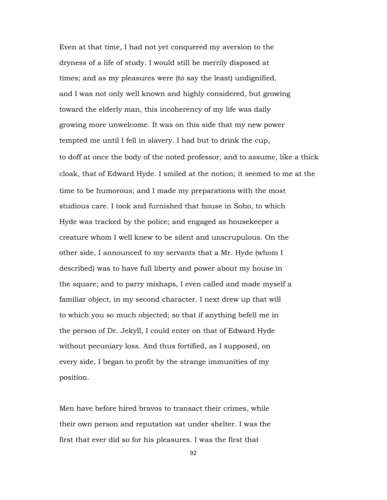Even at that time, I had not yet conquered my aversion to the dryness of a life of study. I would still be merrily disposed at times; and as my pleasures were (to say the least) undignified, and I was not only well known and highly considered, but growing toward the elderly man, this incoherency of my life was daily growing more unwelcome. It was on this side that my new power tempted me until I fell in slavery. I had but to drink the cup, to doff at once the body of the noted professor, and to assume, like a thick cloak, that of Edward Hyde. I smiled at the notion; it seemed to me at the time to be humorous; and I made my preparations with the most studious care. I took and furnished that house in Soho, to which Hyde was tracked by the police; and engaged as housekeeper a creature whom I well knew to be silent and unscrupulous. On the other side, I announced to my servants that a Mr. Hyde (whom I described) was to have full liberty and power about my house in the square; and to parry mishaps, I even called and made myself a familiar object, in my second character. I next drew up that will to which you so much objected; so that if anything befell me in the person of Dr. Jekyll, I could enter on that of Edward Hyde without pecuniary loss. And thus fortified, as I supposed, on every side, I began to profit by the strange immunities of my position.

Men have before hired bravos to transact their crimes, while their own person and reputation sat under shelter. I was the first that ever did so for his pleasures. I was the first that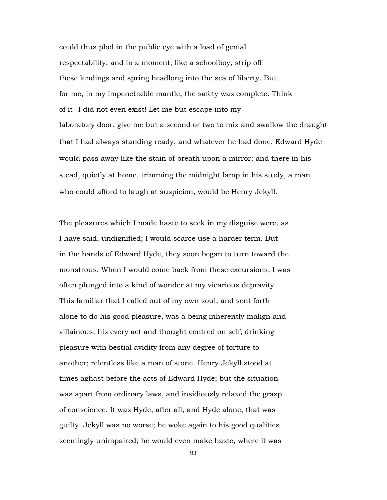could thus plod in the public eye with a load of genial respectability, and in a moment, like a schoolboy, strip off these lendings and spring headlong into the sea of liberty. But for me, in my impenetrable mantle, the safety was complete. Think of it--I did not even exist! Let me but escape into my laboratory door, give me but a second or two to mix and swallow the draught that I had always standing ready; and whatever he had done, Edward Hyde would pass away like the stain of breath upon a mirror; and there in his stead, quietly at home, trimming the midnight lamp in his study, a man who could afford to laugh at suspicion, would be Henry Jekyll.

The pleasures which I made haste to seek in my disguise were, as I have said, undignified; I would scarce use a harder term. But in the hands of Edward Hyde, they soon began to turn toward the monstrous. When I would come back from these excursions, I was often plunged into a kind of wonder at my vicarious depravity. This familiar that I called out of my own soul, and sent forth alone to do his good pleasure, was a being inherently malign and villainous; his every act and thought centred on self; drinking pleasure with bestial avidity from any degree of torture to another; relentless like a man of stone. Henry Jekyll stood at times aghast before the acts of Edward Hyde; but the situation was apart from ordinary laws, and insidiously relaxed the grasp of conscience. It was Hyde, after all, and Hyde alone, that was guilty. Jekyll was no worse; he woke again to his good qualities seemingly unimpaired; he would even make haste, where it was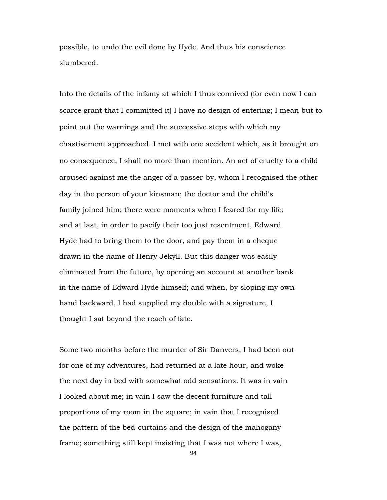possible, to undo the evil done by Hyde. And thus his conscience slumbered.

Into the details of the infamy at which I thus connived (for even now I can scarce grant that I committed it) I have no design of entering; I mean but to point out the warnings and the successive steps with which my chastisement approached. I met with one accident which, as it brought on no consequence, I shall no more than mention. An act of cruelty to a child aroused against me the anger of a passer-by, whom I recognised the other day in the person of your kinsman; the doctor and the child's family joined him; there were moments when I feared for my life; and at last, in order to pacify their too just resentment, Edward Hyde had to bring them to the door, and pay them in a cheque drawn in the name of Henry Jekyll. But this danger was easily eliminated from the future, by opening an account at another bank in the name of Edward Hyde himself; and when, by sloping my own hand backward, I had supplied my double with a signature, I thought I sat beyond the reach of fate.

Some two months before the murder of Sir Danvers, I had been out for one of my adventures, had returned at a late hour, and woke the next day in bed with somewhat odd sensations. It was in vain I looked about me; in vain I saw the decent furniture and tall proportions of my room in the square; in vain that I recognised the pattern of the bed-curtains and the design of the mahogany frame; something still kept insisting that I was not where I was,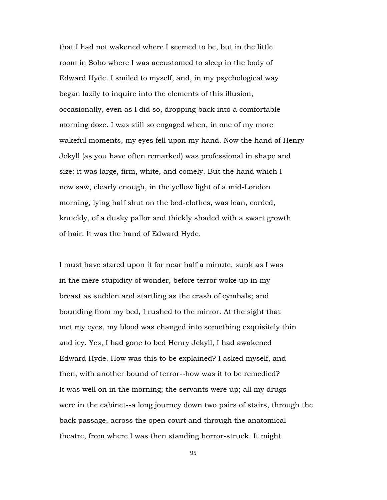that I had not wakened where I seemed to be, but in the little room in Soho where I was accustomed to sleep in the body of Edward Hyde. I smiled to myself, and, in my psychological way began lazily to inquire into the elements of this illusion, occasionally, even as I did so, dropping back into a comfortable morning doze. I was still so engaged when, in one of my more wakeful moments, my eyes fell upon my hand. Now the hand of Henry Jekyll (as you have often remarked) was professional in shape and size: it was large, firm, white, and comely. But the hand which I now saw, clearly enough, in the yellow light of a mid-London morning, lying half shut on the bed-clothes, was lean, corded, knuckly, of a dusky pallor and thickly shaded with a swart growth of hair. It was the hand of Edward Hyde.

I must have stared upon it for near half a minute, sunk as I was in the mere stupidity of wonder, before terror woke up in my breast as sudden and startling as the crash of cymbals; and bounding from my bed, I rushed to the mirror. At the sight that met my eyes, my blood was changed into something exquisitely thin and icy. Yes, I had gone to bed Henry Jekyll, I had awakened Edward Hyde. How was this to be explained? I asked myself, and then, with another bound of terror--how was it to be remedied? It was well on in the morning; the servants were up; all my drugs were in the cabinet--a long journey down two pairs of stairs, through the back passage, across the open court and through the anatomical theatre, from where I was then standing horror-struck. It might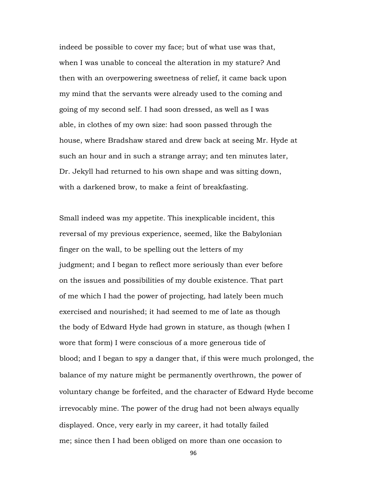indeed be possible to cover my face; but of what use was that, when I was unable to conceal the alteration in my stature? And then with an overpowering sweetness of relief, it came back upon my mind that the servants were already used to the coming and going of my second self. I had soon dressed, as well as I was able, in clothes of my own size: had soon passed through the house, where Bradshaw stared and drew back at seeing Mr. Hyde at such an hour and in such a strange array; and ten minutes later, Dr. Jekyll had returned to his own shape and was sitting down, with a darkened brow, to make a feint of breakfasting.

Small indeed was my appetite. This inexplicable incident, this reversal of my previous experience, seemed, like the Babylonian finger on the wall, to be spelling out the letters of my judgment; and I began to reflect more seriously than ever before on the issues and possibilities of my double existence. That part of me which I had the power of projecting, had lately been much exercised and nourished; it had seemed to me of late as though the body of Edward Hyde had grown in stature, as though (when I wore that form) I were conscious of a more generous tide of blood; and I began to spy a danger that, if this were much prolonged, the balance of my nature might be permanently overthrown, the power of voluntary change be forfeited, and the character of Edward Hyde become irrevocably mine. The power of the drug had not been always equally displayed. Once, very early in my career, it had totally failed me; since then I had been obliged on more than one occasion to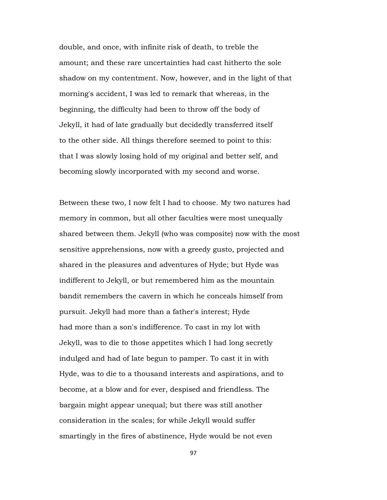double, and once, with infinite risk of death, to treble the amount; and these rare uncertainties had cast hitherto the sole shadow on my contentment. Now, however, and in the light of that morning's accident, I was led to remark that whereas, in the beginning, the difficulty had been to throw off the body of Jekyll, it had of late gradually but decidedly transferred itself to the other side. All things therefore seemed to point to this: that I was slowly losing hold of my original and better self, and becoming slowly incorporated with my second and worse.

Between these two, I now felt I had to choose. My two natures had memory in common, but all other faculties were most unequally shared between them. Jekyll (who was composite) now with the most sensitive apprehensions, now with a greedy gusto, projected and shared in the pleasures and adventures of Hyde; but Hyde was indifferent to Jekyll, or but remembered him as the mountain bandit remembers the cavern in which he conceals himself from pursuit. Jekyll had more than a father's interest; Hyde had more than a son's indifference. To cast in my lot with Jekyll, was to die to those appetites which I had long secretly indulged and had of late begun to pamper. To cast it in with Hyde, was to die to a thousand interests and aspirations, and to become, at a blow and for ever, despised and friendless. The bargain might appear unequal; but there was still another consideration in the scales; for while Jekyll would suffer smartingly in the fires of abstinence, Hyde would be not even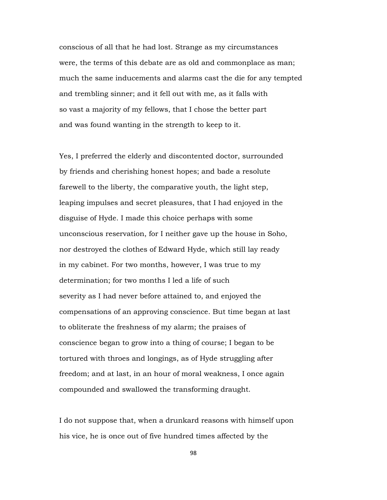conscious of all that he had lost. Strange as my circumstances were, the terms of this debate are as old and commonplace as man; much the same inducements and alarms cast the die for any tempted and trembling sinner; and it fell out with me, as it falls with so vast a majority of my fellows, that I chose the better part and was found wanting in the strength to keep to it.

Yes, I preferred the elderly and discontented doctor, surrounded by friends and cherishing honest hopes; and bade a resolute farewell to the liberty, the comparative youth, the light step, leaping impulses and secret pleasures, that I had enjoyed in the disguise of Hyde. I made this choice perhaps with some unconscious reservation, for I neither gave up the house in Soho, nor destroyed the clothes of Edward Hyde, which still lay ready in my cabinet. For two months, however, I was true to my determination; for two months I led a life of such severity as I had never before attained to, and enjoyed the compensations of an approving conscience. But time began at last to obliterate the freshness of my alarm; the praises of conscience began to grow into a thing of course; I began to be tortured with throes and longings, as of Hyde struggling after freedom; and at last, in an hour of moral weakness, I once again compounded and swallowed the transforming draught.

I do not suppose that, when a drunkard reasons with himself upon his vice, he is once out of five hundred times affected by the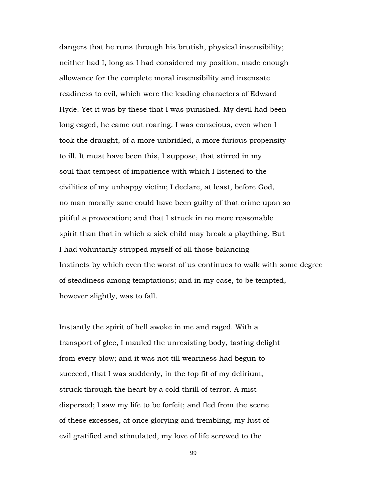dangers that he runs through his brutish, physical insensibility; neither had I, long as I had considered my position, made enough allowance for the complete moral insensibility and insensate readiness to evil, which were the leading characters of Edward Hyde. Yet it was by these that I was punished. My devil had been long caged, he came out roaring. I was conscious, even when I took the draught, of a more unbridled, a more furious propensity to ill. It must have been this, I suppose, that stirred in my soul that tempest of impatience with which I listened to the civilities of my unhappy victim; I declare, at least, before God, no man morally sane could have been guilty of that crime upon so pitiful a provocation; and that I struck in no more reasonable spirit than that in which a sick child may break a plaything. But I had voluntarily stripped myself of all those balancing Instincts by which even the worst of us continues to walk with some degree of steadiness among temptations; and in my case, to be tempted, however slightly, was to fall.

Instantly the spirit of hell awoke in me and raged. With a transport of glee, I mauled the unresisting body, tasting delight from every blow; and it was not till weariness had begun to succeed, that I was suddenly, in the top fit of my delirium, struck through the heart by a cold thrill of terror. A mist dispersed; I saw my life to be forfeit; and fled from the scene of these excesses, at once glorying and trembling, my lust of evil gratified and stimulated, my love of life screwed to the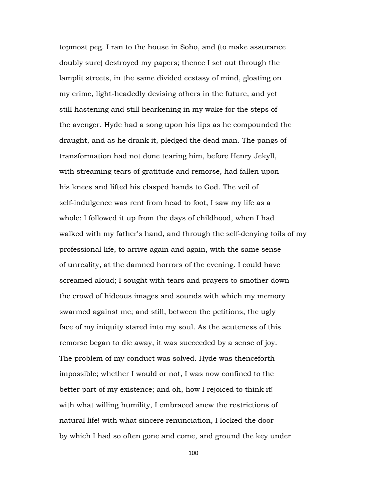topmost peg. I ran to the house in Soho, and (to make assurance doubly sure) destroyed my papers; thence I set out through the lamplit streets, in the same divided ecstasy of mind, gloating on my crime, light-headedly devising others in the future, and yet still hastening and still hearkening in my wake for the steps of the avenger. Hyde had a song upon his lips as he compounded the draught, and as he drank it, pledged the dead man. The pangs of transformation had not done tearing him, before Henry Jekyll, with streaming tears of gratitude and remorse, had fallen upon his knees and lifted his clasped hands to God. The veil of self-indulgence was rent from head to foot, I saw my life as a whole: I followed it up from the days of childhood, when I had walked with my father's hand, and through the self-denying toils of my professional life, to arrive again and again, with the same sense of unreality, at the damned horrors of the evening. I could have screamed aloud; I sought with tears and prayers to smother down the crowd of hideous images and sounds with which my memory swarmed against me; and still, between the petitions, the ugly face of my iniquity stared into my soul. As the acuteness of this remorse began to die away, it was succeeded by a sense of joy. The problem of my conduct was solved. Hyde was thenceforth impossible; whether I would or not, I was now confined to the better part of my existence; and oh, how I rejoiced to think it! with what willing humility, I embraced anew the restrictions of natural life! with what sincere renunciation, I locked the door by which I had so often gone and come, and ground the key under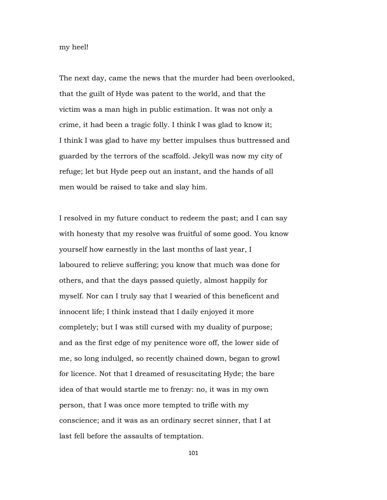my heel!

The next day, came the news that the murder had been overlooked, that the guilt of Hyde was patent to the world, and that the victim was a man high in public estimation. It was not only a crime, it had been a tragic folly. I think I was glad to know it; I think I was glad to have my better impulses thus buttressed and guarded by the terrors of the scaffold. Jekyll was now my city of refuge; let but Hyde peep out an instant, and the hands of all men would be raised to take and slay him.

I resolved in my future conduct to redeem the past; and I can say with honesty that my resolve was fruitful of some good. You know yourself how earnestly in the last months of last year, I laboured to relieve suffering; you know that much was done for others, and that the days passed quietly, almost happily for myself. Nor can I truly say that I wearied of this beneficent and innocent life; I think instead that I daily enjoyed it more completely; but I was still cursed with my duality of purpose; and as the first edge of my penitence wore off, the lower side of me, so long indulged, so recently chained down, began to growl for licence. Not that I dreamed of resuscitating Hyde; the bare idea of that would startle me to frenzy: no, it was in my own person, that I was once more tempted to trifle with my conscience; and it was as an ordinary secret sinner, that I at last fell before the assaults of temptation.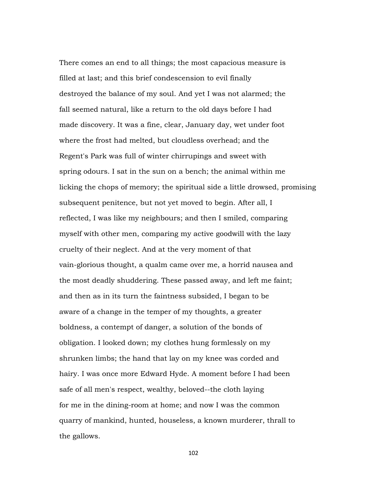There comes an end to all things; the most capacious measure is filled at last; and this brief condescension to evil finally destroyed the balance of my soul. And yet I was not alarmed; the fall seemed natural, like a return to the old days before I had made discovery. It was a fine, clear, January day, wet under foot where the frost had melted, but cloudless overhead; and the Regent's Park was full of winter chirrupings and sweet with spring odours. I sat in the sun on a bench; the animal within me licking the chops of memory; the spiritual side a little drowsed, promising subsequent penitence, but not yet moved to begin. After all, I reflected, I was like my neighbours; and then I smiled, comparing myself with other men, comparing my active goodwill with the lazy cruelty of their neglect. And at the very moment of that vain-glorious thought, a qualm came over me, a horrid nausea and the most deadly shuddering. These passed away, and left me faint; and then as in its turn the faintness subsided, I began to be aware of a change in the temper of my thoughts, a greater boldness, a contempt of danger, a solution of the bonds of obligation. I looked down; my clothes hung formlessly on my shrunken limbs; the hand that lay on my knee was corded and hairy. I was once more Edward Hyde. A moment before I had been safe of all men's respect, wealthy, beloved--the cloth laying for me in the dining-room at home; and now I was the common quarry of mankind, hunted, houseless, a known murderer, thrall to the gallows.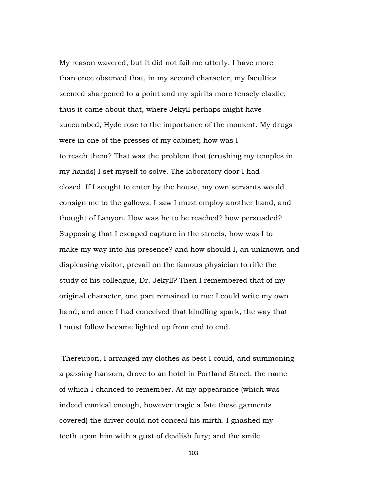My reason wavered, but it did not fail me utterly. I have more than once observed that, in my second character, my faculties seemed sharpened to a point and my spirits more tensely elastic; thus it came about that, where Jekyll perhaps might have succumbed, Hyde rose to the importance of the moment. My drugs were in one of the presses of my cabinet; how was I to reach them? That was the problem that (crushing my temples in my hands) I set myself to solve. The laboratory door I had closed. If I sought to enter by the house, my own servants would consign me to the gallows. I saw I must employ another hand, and thought of Lanyon. How was he to be reached? how persuaded? Supposing that I escaped capture in the streets, how was I to make my way into his presence? and how should I, an unknown and displeasing visitor, prevail on the famous physician to rifle the study of his colleague, Dr. Jekyll? Then I remembered that of my original character, one part remained to me: I could write my own hand; and once I had conceived that kindling spark, the way that I must follow became lighted up from end to end.

 Thereupon, I arranged my clothes as best I could, and summoning a passing hansom, drove to an hotel in Portland Street, the name of which I chanced to remember. At my appearance (which was indeed comical enough, however tragic a fate these garments covered) the driver could not conceal his mirth. I gnashed my teeth upon him with a gust of devilish fury; and the smile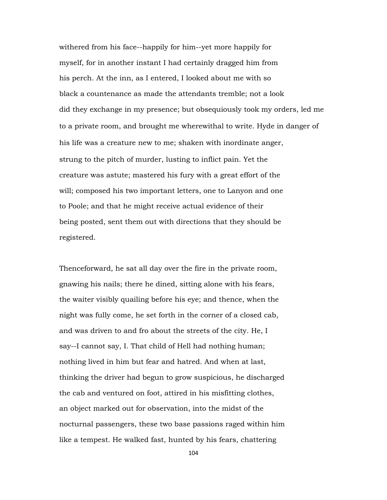withered from his face--happily for him--yet more happily for myself, for in another instant I had certainly dragged him from his perch. At the inn, as I entered, I looked about me with so black a countenance as made the attendants tremble; not a look did they exchange in my presence; but obsequiously took my orders, led me to a private room, and brought me wherewithal to write. Hyde in danger of his life was a creature new to me; shaken with inordinate anger, strung to the pitch of murder, lusting to inflict pain. Yet the creature was astute; mastered his fury with a great effort of the will; composed his two important letters, one to Lanyon and one to Poole; and that he might receive actual evidence of their being posted, sent them out with directions that they should be registered.

Thenceforward, he sat all day over the fire in the private room, gnawing his nails; there he dined, sitting alone with his fears, the waiter visibly quailing before his eye; and thence, when the night was fully come, he set forth in the corner of a closed cab, and was driven to and fro about the streets of the city. He, I say--I cannot say, I. That child of Hell had nothing human; nothing lived in him but fear and hatred. And when at last, thinking the driver had begun to grow suspicious, he discharged the cab and ventured on foot, attired in his misfitting clothes, an object marked out for observation, into the midst of the nocturnal passengers, these two base passions raged within him like a tempest. He walked fast, hunted by his fears, chattering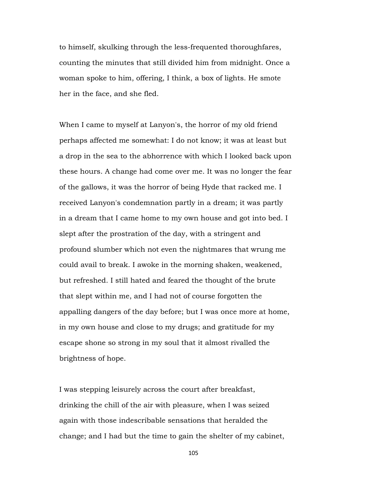to himself, skulking through the less-frequented thoroughfares, counting the minutes that still divided him from midnight. Once a woman spoke to him, offering, I think, a box of lights. He smote her in the face, and she fled.

When I came to myself at Lanyon's, the horror of my old friend perhaps affected me somewhat: I do not know; it was at least but a drop in the sea to the abhorrence with which I looked back upon these hours. A change had come over me. It was no longer the fear of the gallows, it was the horror of being Hyde that racked me. I received Lanyon's condemnation partly in a dream; it was partly in a dream that I came home to my own house and got into bed. I slept after the prostration of the day, with a stringent and profound slumber which not even the nightmares that wrung me could avail to break. I awoke in the morning shaken, weakened, but refreshed. I still hated and feared the thought of the brute that slept within me, and I had not of course forgotten the appalling dangers of the day before; but I was once more at home, in my own house and close to my drugs; and gratitude for my escape shone so strong in my soul that it almost rivalled the brightness of hope.

I was stepping leisurely across the court after breakfast, drinking the chill of the air with pleasure, when I was seized again with those indescribable sensations that heralded the change; and I had but the time to gain the shelter of my cabinet,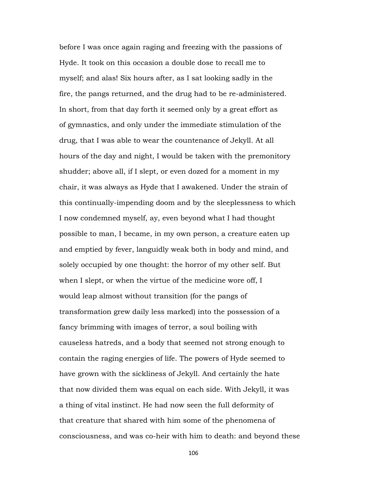before I was once again raging and freezing with the passions of Hyde. It took on this occasion a double dose to recall me to myself; and alas! Six hours after, as I sat looking sadly in the fire, the pangs returned, and the drug had to be re-administered. In short, from that day forth it seemed only by a great effort as of gymnastics, and only under the immediate stimulation of the drug, that I was able to wear the countenance of Jekyll. At all hours of the day and night, I would be taken with the premonitory shudder; above all, if I slept, or even dozed for a moment in my chair, it was always as Hyde that I awakened. Under the strain of this continually-impending doom and by the sleeplessness to which I now condemned myself, ay, even beyond what I had thought possible to man, I became, in my own person, a creature eaten up and emptied by fever, languidly weak both in body and mind, and solely occupied by one thought: the horror of my other self. But when I slept, or when the virtue of the medicine wore off, I would leap almost without transition (for the pangs of transformation grew daily less marked) into the possession of a fancy brimming with images of terror, a soul boiling with causeless hatreds, and a body that seemed not strong enough to contain the raging energies of life. The powers of Hyde seemed to have grown with the sickliness of Jekyll. And certainly the hate that now divided them was equal on each side. With Jekyll, it was a thing of vital instinct. He had now seen the full deformity of that creature that shared with him some of the phenomena of consciousness, and was co-heir with him to death: and beyond these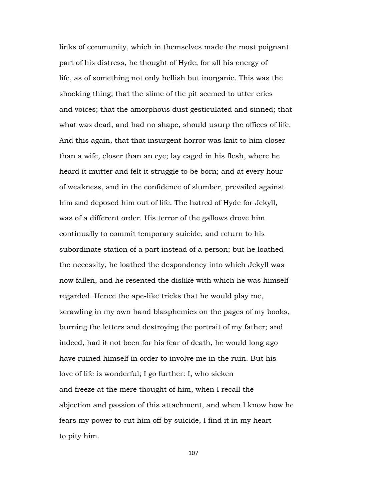links of community, which in themselves made the most poignant part of his distress, he thought of Hyde, for all his energy of life, as of something not only hellish but inorganic. This was the shocking thing; that the slime of the pit seemed to utter cries and voices; that the amorphous dust gesticulated and sinned; that what was dead, and had no shape, should usurp the offices of life. And this again, that that insurgent horror was knit to him closer than a wife, closer than an eye; lay caged in his flesh, where he heard it mutter and felt it struggle to be born; and at every hour of weakness, and in the confidence of slumber, prevailed against him and deposed him out of life. The hatred of Hyde for Jekyll, was of a different order. His terror of the gallows drove him continually to commit temporary suicide, and return to his subordinate station of a part instead of a person; but he loathed the necessity, he loathed the despondency into which Jekyll was now fallen, and he resented the dislike with which he was himself regarded. Hence the ape-like tricks that he would play me, scrawling in my own hand blasphemies on the pages of my books, burning the letters and destroying the portrait of my father; and indeed, had it not been for his fear of death, he would long ago have ruined himself in order to involve me in the ruin. But his love of life is wonderful; I go further: I, who sicken and freeze at the mere thought of him, when I recall the abjection and passion of this attachment, and when I know how he fears my power to cut him off by suicide, I find it in my heart to pity him.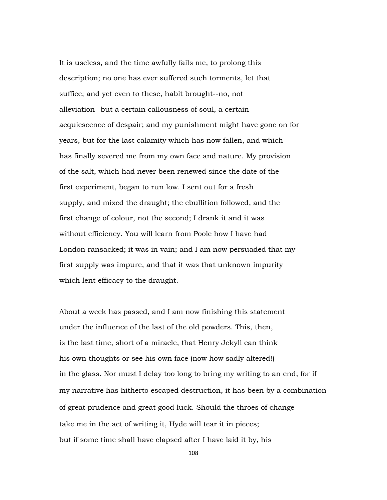It is useless, and the time awfully fails me, to prolong this description; no one has ever suffered such torments, let that suffice; and yet even to these, habit brought--no, not alleviation--but a certain callousness of soul, a certain acquiescence of despair; and my punishment might have gone on for years, but for the last calamity which has now fallen, and which has finally severed me from my own face and nature. My provision of the salt, which had never been renewed since the date of the first experiment, began to run low. I sent out for a fresh supply, and mixed the draught; the ebullition followed, and the first change of colour, not the second; I drank it and it was without efficiency. You will learn from Poole how I have had London ransacked; it was in vain; and I am now persuaded that my first supply was impure, and that it was that unknown impurity which lent efficacy to the draught.

About a week has passed, and I am now finishing this statement under the influence of the last of the old powders. This, then, is the last time, short of a miracle, that Henry Jekyll can think his own thoughts or see his own face (now how sadly altered!) in the glass. Nor must I delay too long to bring my writing to an end; for if my narrative has hitherto escaped destruction, it has been by a combination of great prudence and great good luck. Should the throes of change take me in the act of writing it, Hyde will tear it in pieces; but if some time shall have elapsed after I have laid it by, his